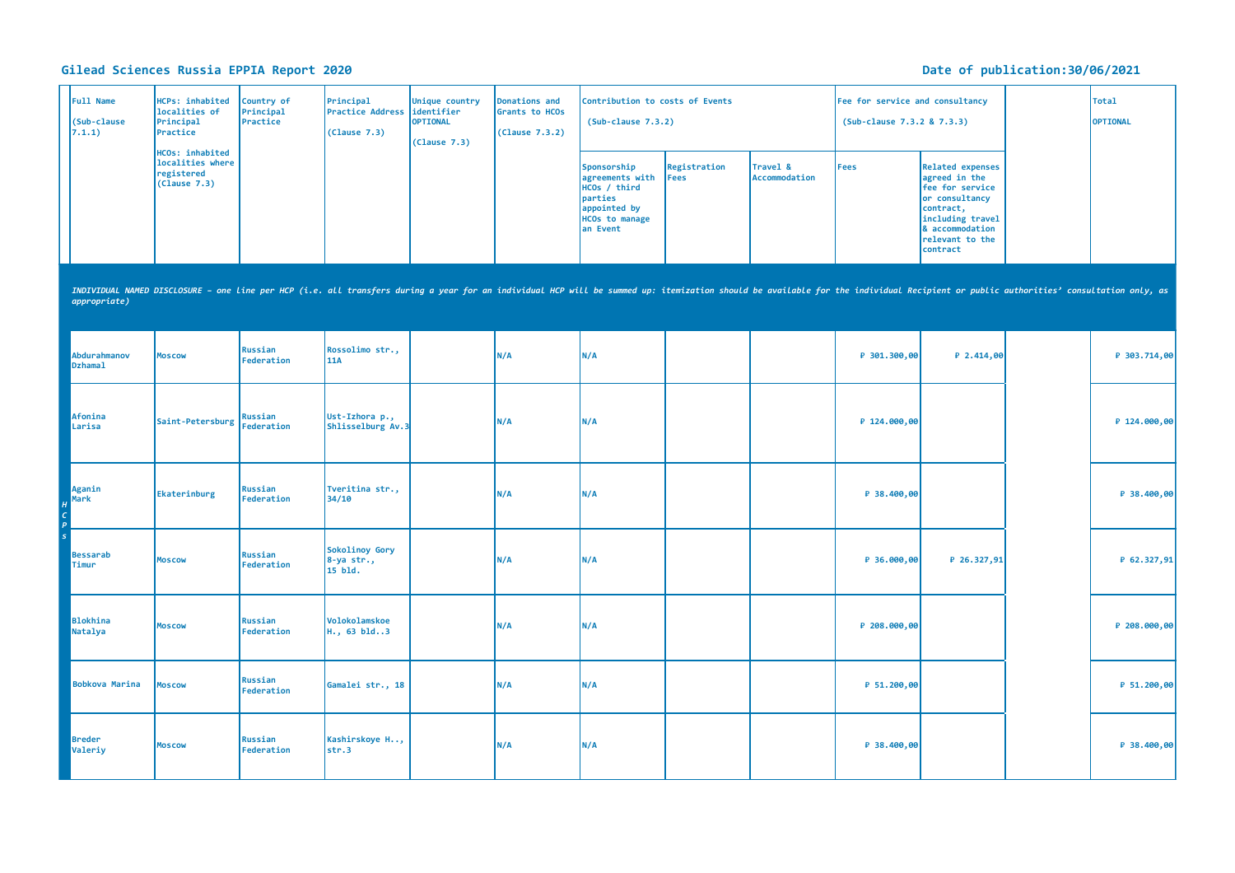## **Gilead Sciences Russia EPPIA Report 2020 Date of publication:30/06/2021**

| Full Name<br>(Sub-clause<br>7.1.1) | <b>HCPs: inhabited</b><br>localities of<br>Principal<br>Practice                                                                                                                                                               | Country of<br>Principal<br>Practice | Principal<br><b>Practice Address</b><br>(Clause 7.3) | Unique country<br>identifier<br><b>OPTIONAL</b><br>(Clause 7.3) | Donations and<br>Grants to HCOs<br>(Clause 7.3.2) | Contribution to costs of Events<br>$(Sub-clause 7.3.2)$                                                        |                             |                           | Fee for service and consultancy<br>(Sub-clause 7.3.2 & 7.3.3) |                                                                                                                                                                  | <b>Total</b><br>OPTIONAL |
|------------------------------------|--------------------------------------------------------------------------------------------------------------------------------------------------------------------------------------------------------------------------------|-------------------------------------|------------------------------------------------------|-----------------------------------------------------------------|---------------------------------------------------|----------------------------------------------------------------------------------------------------------------|-----------------------------|---------------------------|---------------------------------------------------------------|------------------------------------------------------------------------------------------------------------------------------------------------------------------|--------------------------|
|                                    | HCOs: inhabited<br>localities where<br>registered<br>(Clause 7.3)                                                                                                                                                              |                                     |                                                      |                                                                 |                                                   | Sponsorship<br>agreements with<br>HCOs / third<br>parties<br>appointed by<br><b>HCOs to manage</b><br>an Event | Registration<br><b>Fees</b> | Travel &<br>Accommodation | Fees                                                          | <b>Related expenses</b><br>agreed in the<br>fee for service<br>or consultancy<br>contract,<br>including travel<br>& accommodation<br>relevant to the<br>contract |                          |
| appropriate)                       | INDIVIDUAL NAMED DISCLOSURE - one Line per HCP (i.e. all transfers during a year for an individual HCP will be summed up: itemization should be available for the individual Recipient or public authorities' consultation onl |                                     |                                                      |                                                                 |                                                   |                                                                                                                |                             |                           |                                                               |                                                                                                                                                                  |                          |
| Abdurahmanov<br><b>Dzhamal</b>     | <b>Moscow</b>                                                                                                                                                                                                                  | Russian<br>Federation               | Rossolimo str.,<br>11A                               |                                                                 | N/A                                               | N/A                                                                                                            |                             |                           | ₽ 301.300,00                                                  | $P$ 2.414,00                                                                                                                                                     | ₽ 303.714,00             |
| Afonina<br>Larisa                  | Saint-Petersburg                                                                                                                                                                                                               | <b>Russian</b><br><b>Federation</b> | Ust-Izhora p.,<br>Shlisselburg Av.3                  |                                                                 | N/A                                               | N/A                                                                                                            |                             |                           | ₽ 124.000,00                                                  |                                                                                                                                                                  | ₽ 124.000,00             |
| Aganin<br>Mark                     | Ekaterinburg                                                                                                                                                                                                                   | Russian<br>Federation               | Tveritina str.,<br>34/10                             |                                                                 | N/A                                               | N/A                                                                                                            |                             |                           | ₽ 38.400,00                                                   |                                                                                                                                                                  | ₽ 38.400,00              |
| <b>Bessarab</b><br>Timur           | <b>Moscow</b>                                                                                                                                                                                                                  | <b>Russian</b><br>Federation        | Sokolinoy Gory<br>8-ya str.,<br>$15$ bld.            |                                                                 | N/A                                               | N/A                                                                                                            |                             |                           | ₽ 36.000,00                                                   | ₽ 26.327,91                                                                                                                                                      | ₽ 62.327,91              |
| <b>Blokhina</b><br>Natalya         | <b>Moscow</b>                                                                                                                                                                                                                  | Russian<br>Federation               | Volokolamskoe<br>H., 63 bld3                         |                                                                 | N/A                                               | N/A                                                                                                            |                             |                           | ₽ 208.000,00                                                  |                                                                                                                                                                  | ₽ 208.000,00             |
| Bobkova Marina                     | <b>Moscow</b>                                                                                                                                                                                                                  | Russian<br>Federation               | Gamalei str., 18                                     |                                                                 | N/A                                               | N/A                                                                                                            |                             |                           | ₽ 51.200,00                                                   |                                                                                                                                                                  | ₽ 51.200,00              |
| <b>Breder</b><br>Valeriy           | <b>Moscow</b>                                                                                                                                                                                                                  | Russian<br>Federation               | Kashirskoye H,<br>str.3                              |                                                                 | N/A                                               | N/A                                                                                                            |                             |                           | ₽ 38.400,00                                                   |                                                                                                                                                                  | ₽ 38.400,00              |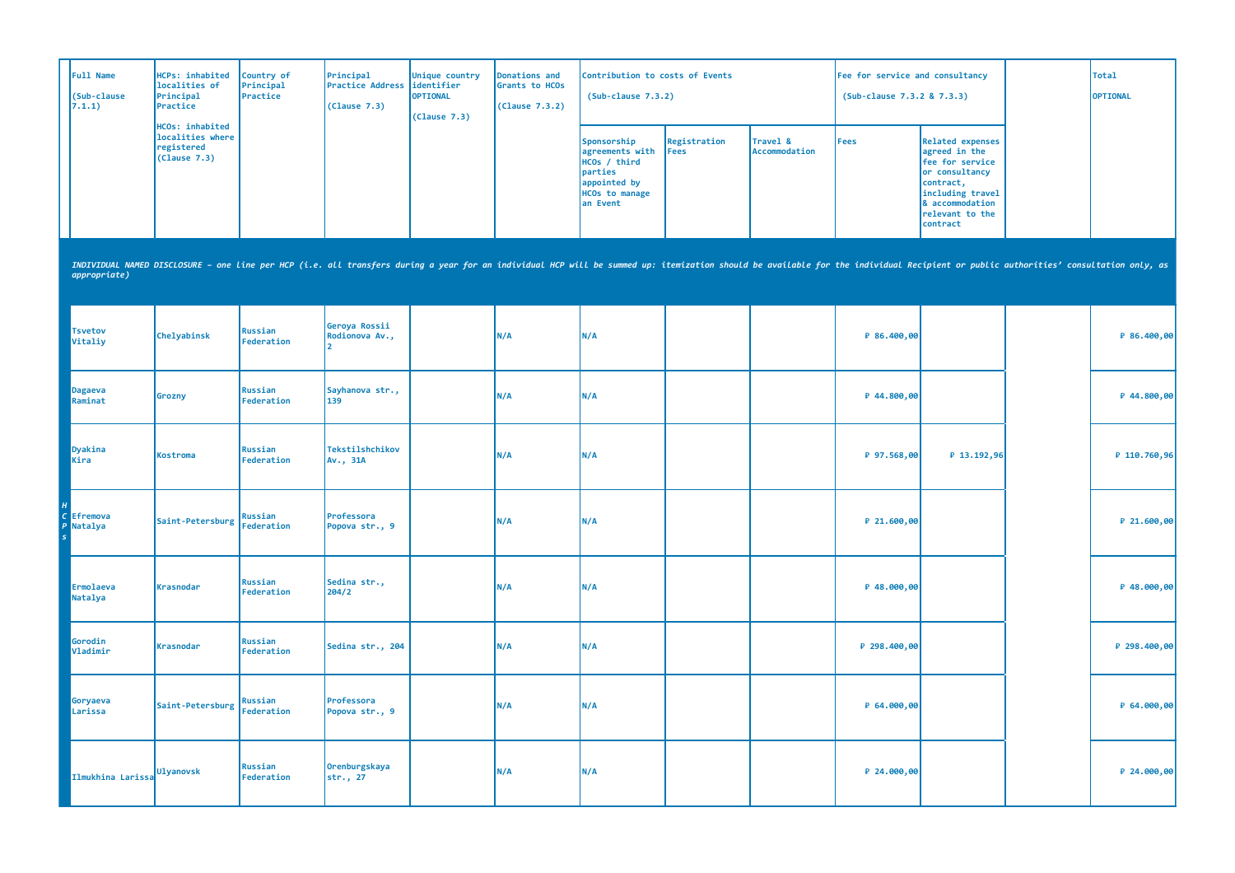| Full Name<br>(Sub-clause<br>7.1.1) | HCPs: inhabited<br>localities of<br>Principal<br>Practice                                                                                                                                                                      | Country of<br>Principal<br>Practice | Principal<br><b>Practice Address</b><br>(Clause 7.3) | Unique country<br>identifier<br><b>OPTIONAL</b><br>(Clause 7.3) | <b>Donations and</b><br>Grants to HCOs<br>(Clause 7.3.2) | Contribution to costs of Events<br>$(Sub-clause 7.3.2)$                                                        |                             |                           | Fee for service and consultancy<br>(Sub-clause 7.3.2 & 7.3.3) |                                                                                                                                                                  | <b>Total</b><br>OPTIONAL |
|------------------------------------|--------------------------------------------------------------------------------------------------------------------------------------------------------------------------------------------------------------------------------|-------------------------------------|------------------------------------------------------|-----------------------------------------------------------------|----------------------------------------------------------|----------------------------------------------------------------------------------------------------------------|-----------------------------|---------------------------|---------------------------------------------------------------|------------------------------------------------------------------------------------------------------------------------------------------------------------------|--------------------------|
|                                    | HCOs: inhabited<br>localities where<br>registered<br>(Clause 7.3)                                                                                                                                                              |                                     |                                                      |                                                                 |                                                          | Sponsorship<br>agreements with<br>HCOs / third<br>parties<br>appointed by<br><b>HCOs to manage</b><br>an Event | Registration<br><b>Fees</b> | Travel &<br>Accommodation | <b>Fees</b>                                                   | <b>Related expenses</b><br>agreed in the<br>fee for service<br>or consultancy<br>contract,<br>including travel<br>& accommodation<br>relevant to the<br>contract |                          |
| appropriate)                       | INDIVIDUAL NAMED DISCLOSURE - one line per HCP (i.e. all transfers during a year for an individual HCP will be summed up: itemization should be available for the individual Recipient or public authorities' consultation onl |                                     |                                                      |                                                                 |                                                          |                                                                                                                |                             |                           |                                                               |                                                                                                                                                                  |                          |
| <b>Tsvetov</b><br>Vitaliy          | Chelyabinsk                                                                                                                                                                                                                    | Russian<br>Federation               | Geroya Rossii<br>Rodionova Av.,                      |                                                                 | N/A                                                      | N/A                                                                                                            |                             |                           | ₽ 86.400,00                                                   |                                                                                                                                                                  | ₽ 86.400,00              |
| <b>Dagaeva</b><br>Raminat          | Grozny                                                                                                                                                                                                                         | Russian<br>Federation               | Sayhanova str.,<br>139                               |                                                                 | N/A                                                      | N/A                                                                                                            |                             |                           | ₽ 44.800,00                                                   |                                                                                                                                                                  | ₽ 44.800,00              |
| Dyakina<br>Kira                    | Kostroma                                                                                                                                                                                                                       | Russian<br>Federation               | Tekstilshchikov<br>Av., 31A                          |                                                                 | N/A                                                      | N/A                                                                                                            |                             |                           | ₽ 97.568,00                                                   | ₽ 13.192,96                                                                                                                                                      | ₽ 110.760,96             |
| C Efremova<br>Natalya<br>P         | Saint-Petersburg                                                                                                                                                                                                               | Russian<br><b>Federation</b>        | Professora<br>Popova str., 9                         |                                                                 | N/A                                                      | N/A                                                                                                            |                             |                           | ₽ 21.600,00                                                   |                                                                                                                                                                  | ₽ 21.600,00              |
| Ermolaeva<br>Natalya               | <b>Krasnodar</b>                                                                                                                                                                                                               | <b>Russian</b><br>Federation        | Sedina str.,<br>204/2                                |                                                                 | N/A                                                      | N/A                                                                                                            |                             |                           | ₽ 48.000,00                                                   |                                                                                                                                                                  | ₽ 48.000,00              |
| Gorodin<br>Vladimir                | Krasnodar                                                                                                                                                                                                                      | Russian<br>Federation               | Sedina str., 204                                     |                                                                 | N/A                                                      | N/A                                                                                                            |                             |                           | ₽ 298.400,00                                                  |                                                                                                                                                                  | ₽ 298.400,00             |
| Goryaeva<br>Larissa                | Saint-Petersburg                                                                                                                                                                                                               | Russian<br>Federation               | Professora<br>Popova str., 9                         |                                                                 | N/A                                                      | N/A                                                                                                            |                             |                           | ₽ 64.000,00                                                   |                                                                                                                                                                  | ₽ 64.000,00              |
| Ilmukhina Larissa Ulyanovsk        |                                                                                                                                                                                                                                | Russian<br>Federation               | Orenburgskaya<br>str., 27                            |                                                                 | N/A                                                      | N/A                                                                                                            |                             |                           | ₽ 24.000,00                                                   |                                                                                                                                                                  | ₽ 24.000,00              |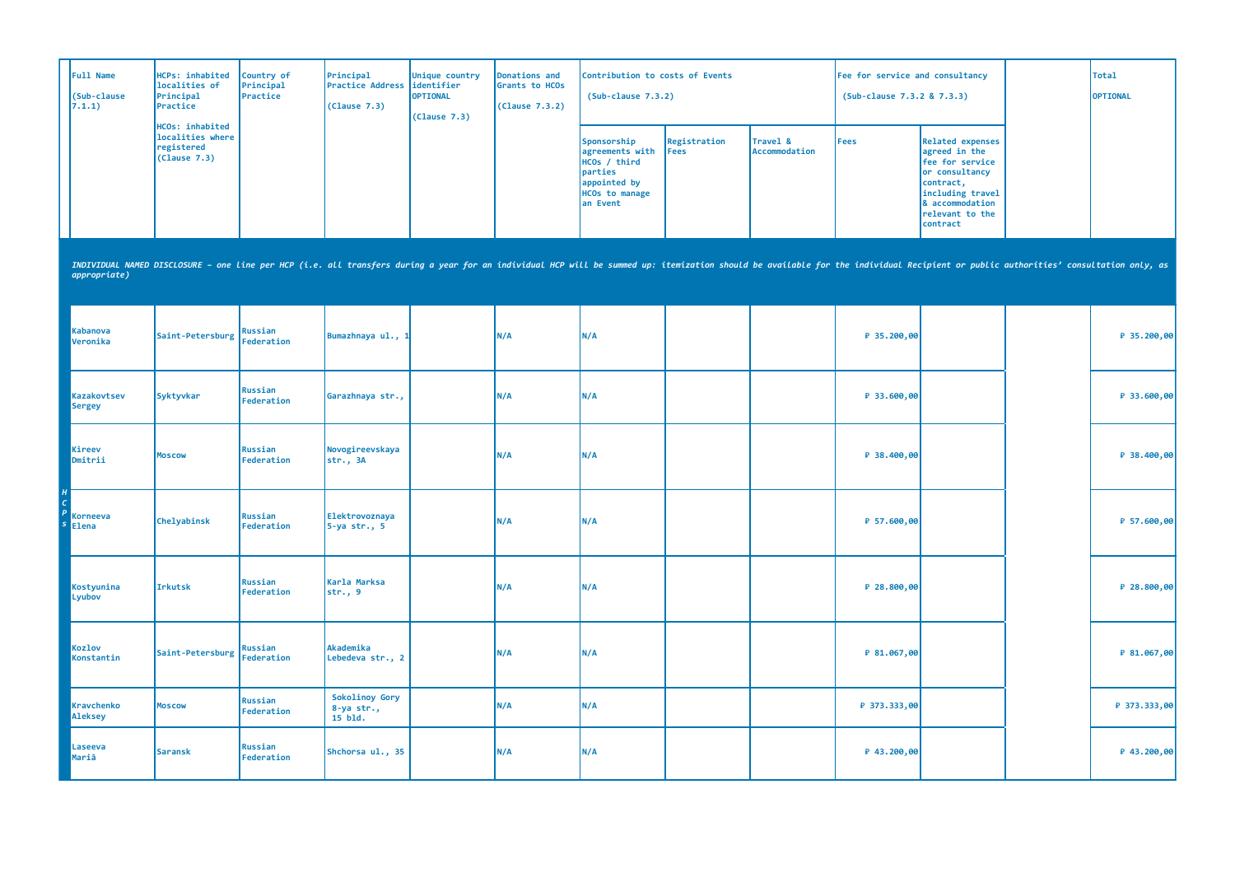| Full Name<br>(Sub-clause<br>7.1.1) | HCPs: inhabited<br>localities of<br>Principal<br>Practice         | Country of<br>Principal<br>Practice | Principal<br>Practice Address<br>(Clause 7.3)                                                                                                                                                                                  | Unique country<br>identifier<br><b>OPTIONAL</b><br>(Cause 7.3) | Donations and<br>Grants to HCOs<br>(Clause 7.3.2) | Contribution to costs of Events<br>$(Sub-clause 7.3.2)$                                                        |                      |                           | Fee for service and consultancy<br>(Sub-clause 7.3.2 & 7.3.3) |                                                                                                                                                                  | <b>Total</b><br>OPTIONAL |
|------------------------------------|-------------------------------------------------------------------|-------------------------------------|--------------------------------------------------------------------------------------------------------------------------------------------------------------------------------------------------------------------------------|----------------------------------------------------------------|---------------------------------------------------|----------------------------------------------------------------------------------------------------------------|----------------------|---------------------------|---------------------------------------------------------------|------------------------------------------------------------------------------------------------------------------------------------------------------------------|--------------------------|
|                                    | HCOs: inhabited<br>localities where<br>registered<br>(Clause 7.3) |                                     |                                                                                                                                                                                                                                |                                                                |                                                   | Sponsorship<br>agreements with<br>HCOs / third<br>parties<br>appointed by<br><b>HCOs to manage</b><br>an Event | Registration<br>Fees | Travel &<br>Accommodation | <b>Fees</b>                                                   | <b>Related expenses</b><br>agreed in the<br>fee for service<br>or consultancy<br>contract,<br>including travel<br>& accommodation<br>relevant to the<br>contract |                          |
| <i>appropriate</i> )               |                                                                   |                                     | INDIVIDUAL NAMED DISCLOSURE - one line per HCP (i.e. all transfers during a year for an individual HCP will be summed up: itemization should be available for the individual Recipient or public authorities' consultation onl |                                                                |                                                   |                                                                                                                |                      |                           |                                                               |                                                                                                                                                                  |                          |
| <b>Kabanova</b><br>Veronika        | Saint-Petersburg                                                  | Russian<br><b>Federation</b>        | Bumazhnaya ul., 1                                                                                                                                                                                                              |                                                                | N/A                                               | N/A                                                                                                            |                      |                           | ₽ 35.200,00                                                   |                                                                                                                                                                  | ₽ 35.200,00              |
| Kazakovtsev<br><b>Sergey</b>       | Syktyvkar                                                         | Russian<br>Federation               | Garazhnaya str.,                                                                                                                                                                                                               |                                                                | N/A                                               | N/A                                                                                                            |                      |                           | ₽ 33.600,00                                                   |                                                                                                                                                                  | ₽ 33.600,00              |
| Kireev<br>Dmitrii                  | <b>Moscow</b>                                                     | <b>Russian</b><br>Federation        | Novogireevskaya<br>str., 3A                                                                                                                                                                                                    |                                                                | N/A                                               | N/A                                                                                                            |                      |                           | ₽ 38.400,00                                                   |                                                                                                                                                                  | ₽ 38.400,00              |
| Korneeva<br>$s$ Elena              | Chelyabinsk                                                       | <b>Russian</b><br>Federation        | Elektrovoznaya<br>$5-ya str.$ , 5                                                                                                                                                                                              |                                                                | N/A                                               | N/A                                                                                                            |                      |                           | ₽ 57.600,00                                                   |                                                                                                                                                                  | P 57.600,00              |
| Kostyunina<br>Lyubov               | <b>Irkutsk</b>                                                    | <b>Russian</b><br>Federation        | Karla Marksa<br>str., 9                                                                                                                                                                                                        |                                                                | N/A                                               | N/A                                                                                                            |                      |                           | ₽ 28.800,00                                                   |                                                                                                                                                                  | ₽ 28.800,00              |
| Kozlov<br>Konstantin               | Saint-Petersburg                                                  | Russian<br>Federation               | Akademika<br>Lebedeva str., 2                                                                                                                                                                                                  |                                                                | N/A                                               | N/A                                                                                                            |                      |                           | ₽ 81.067,00                                                   |                                                                                                                                                                  | ₽ 81.067,00              |
| Kravchenko<br><b>Aleksey</b>       | <b>Moscow</b>                                                     | <b>Russian</b><br>Federation        | Sokolinoy Gory<br>8-ya str.,<br>15 bld.                                                                                                                                                                                        |                                                                | N/A                                               | N/A                                                                                                            |                      |                           | ₽ 373.333,00                                                  |                                                                                                                                                                  | ₽ 373.333,00             |
| Laseeva<br>Mariâ                   | <b>Saransk</b>                                                    | Russian<br>Federation               | Shchorsa ul., 35                                                                                                                                                                                                               |                                                                | N/A                                               | N/A                                                                                                            |                      |                           | ₽ 43.200,00                                                   |                                                                                                                                                                  | ₽ 43.200,00              |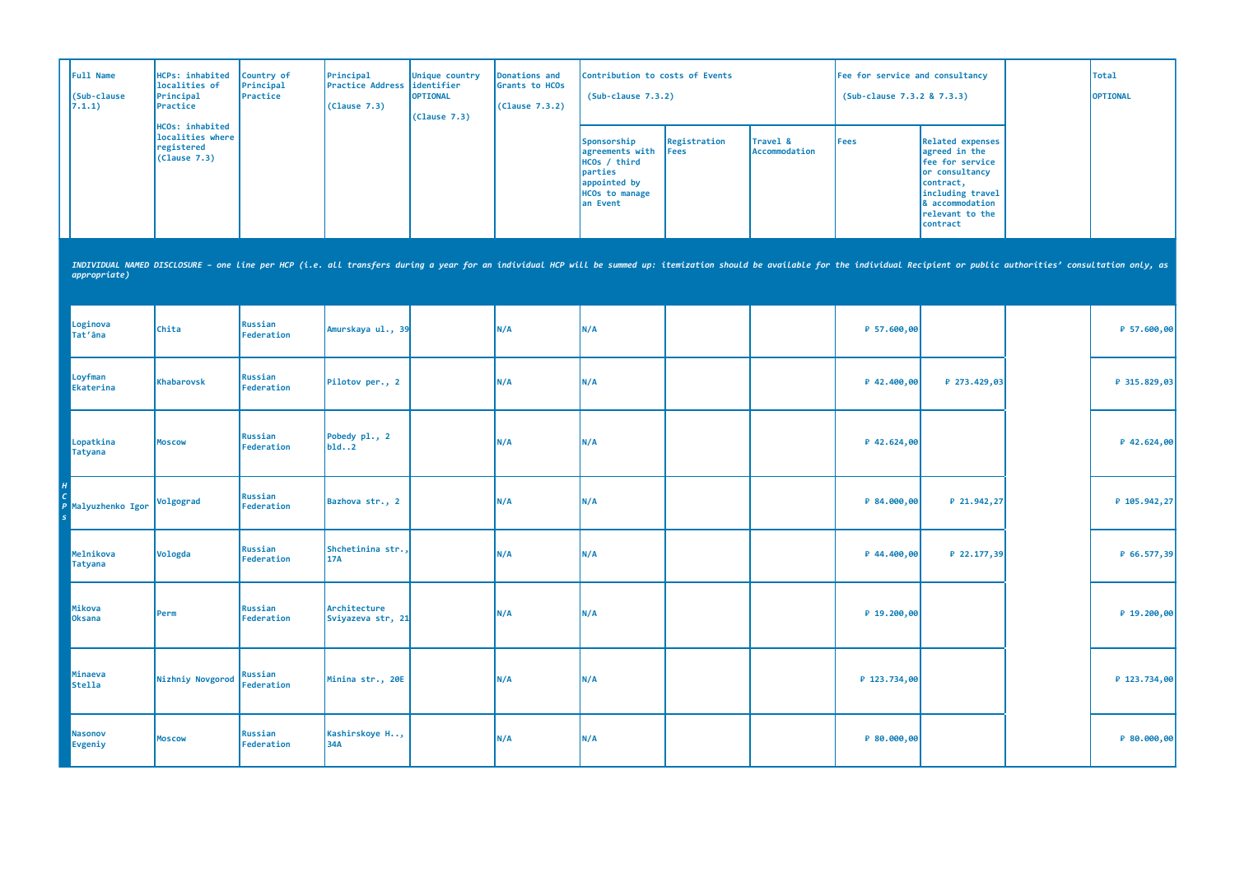| Full Name<br>(Sub-clause<br>7.1.1) | HCPs: inhabited<br>localities of<br>Principal<br>Practice                                                                                                                                                                      | Country of<br>Principal<br>Practice | Principal<br>Practice Address<br>(Clause 7.3) | Unique country<br>identifier<br>OPTIONAL<br>(Clause 7.3) | Donations and<br>Grants to HCOs<br>(Clause 7.3.2) | Contribution to costs of Events<br>$(Sub-clause 7.3.2)$                                                        |                      |                           | Fee for service and consultancy<br>(Sub-clause 7.3.2 & 7.3.3) |                                                                                                                                                                  | <b>Total</b><br>OPTIONAL |
|------------------------------------|--------------------------------------------------------------------------------------------------------------------------------------------------------------------------------------------------------------------------------|-------------------------------------|-----------------------------------------------|----------------------------------------------------------|---------------------------------------------------|----------------------------------------------------------------------------------------------------------------|----------------------|---------------------------|---------------------------------------------------------------|------------------------------------------------------------------------------------------------------------------------------------------------------------------|--------------------------|
|                                    | HCOs: inhabited<br>localities where<br>registered<br>(Clause 7.3)                                                                                                                                                              |                                     |                                               |                                                          |                                                   | Sponsorship<br>agreements with<br>HCOs / third<br>parties<br>appointed by<br><b>HCOs to manage</b><br>an Event | Registration<br>Fees | Travel &<br>Accommodation | <b>Fees</b>                                                   | <b>Related expenses</b><br>agreed in the<br>fee for service<br>or consultancy<br>contract,<br>including travel<br>& accommodation<br>relevant to the<br>contract |                          |
| appropriate)                       | INDIVIDUAL NAMED DISCLOSURE - one line per HCP (i.e. all transfers during a year for an individual HCP will be summed up: itemization should be available for the individual Recipient or public authorities' consultation onl |                                     |                                               |                                                          |                                                   |                                                                                                                |                      |                           |                                                               |                                                                                                                                                                  |                          |
| Loginova<br>Tat'âna                | Chita                                                                                                                                                                                                                          | <b>Russian</b><br><b>Federation</b> | Amurskaya ul., 39                             |                                                          | N/A                                               | N/A                                                                                                            |                      |                           | ₽ 57.600,00                                                   |                                                                                                                                                                  | ₽ 57.600,00              |
| Loyfman<br>Ekaterina               | <b>Khabarovsk</b>                                                                                                                                                                                                              | <b>Russian</b><br><b>Federation</b> | Pilotov per., 2                               |                                                          | N/A                                               | N/A                                                                                                            |                      |                           | ₽ 42.400,00                                                   | ₽ 273.429,03                                                                                                                                                     | ₽ 315.829,03             |
| Lopatkina<br><b>Tatyana</b>        | <b>Moscow</b>                                                                                                                                                                                                                  | Russian<br><b>Federation</b>        | Pobedy pl., 2<br>b1d2                         |                                                          | N/A                                               | N/A                                                                                                            |                      |                           | ₽ 42.624,00                                                   |                                                                                                                                                                  | ₽ 42.624,00              |
| Malyuzhenko Igor                   | Volgograd                                                                                                                                                                                                                      | Russian<br>Federation               | Bazhova str., 2                               |                                                          | N/A                                               | N/A                                                                                                            |                      |                           | ₽ 84.000,00                                                   | ₽ 21.942,27                                                                                                                                                      | ₽ 105.942,27             |
| Melnikova<br><b>Tatyana</b>        | Vologda                                                                                                                                                                                                                        | Russian<br>Federation               | Shchetinina str.,<br><b>17A</b>               |                                                          | N/A                                               | N/A                                                                                                            |                      |                           | ₽ 44.400,00                                                   | ₽ 22.177,39                                                                                                                                                      | ₽ 66.577,39              |
| Mikova<br>Oksana                   | Perm                                                                                                                                                                                                                           | <b>Russian</b><br>Federation        | Architecture<br>Sviyazeva str, 21             |                                                          | N/A                                               | N/A                                                                                                            |                      |                           | ₽ 19.200,00                                                   |                                                                                                                                                                  | ₽ 19.200,00              |
| Minaeva<br><b>Stella</b>           | Nizhniy Novgorod                                                                                                                                                                                                               | <b>Russian</b><br><b>Federation</b> | Minina str., 20E                              |                                                          | N/A                                               | N/A                                                                                                            |                      |                           | ₽ 123.734,00                                                  |                                                                                                                                                                  | ₽ 123.734,00             |
| <b>Nasonov</b><br>Evgeniy          | <b>Moscow</b>                                                                                                                                                                                                                  | <b>Russian</b><br>Federation        | Kashirskoye H,<br>34A                         |                                                          | N/A                                               | N/A                                                                                                            |                      |                           | ₽ 80.000,00                                                   |                                                                                                                                                                  | ₽ 80.000,00              |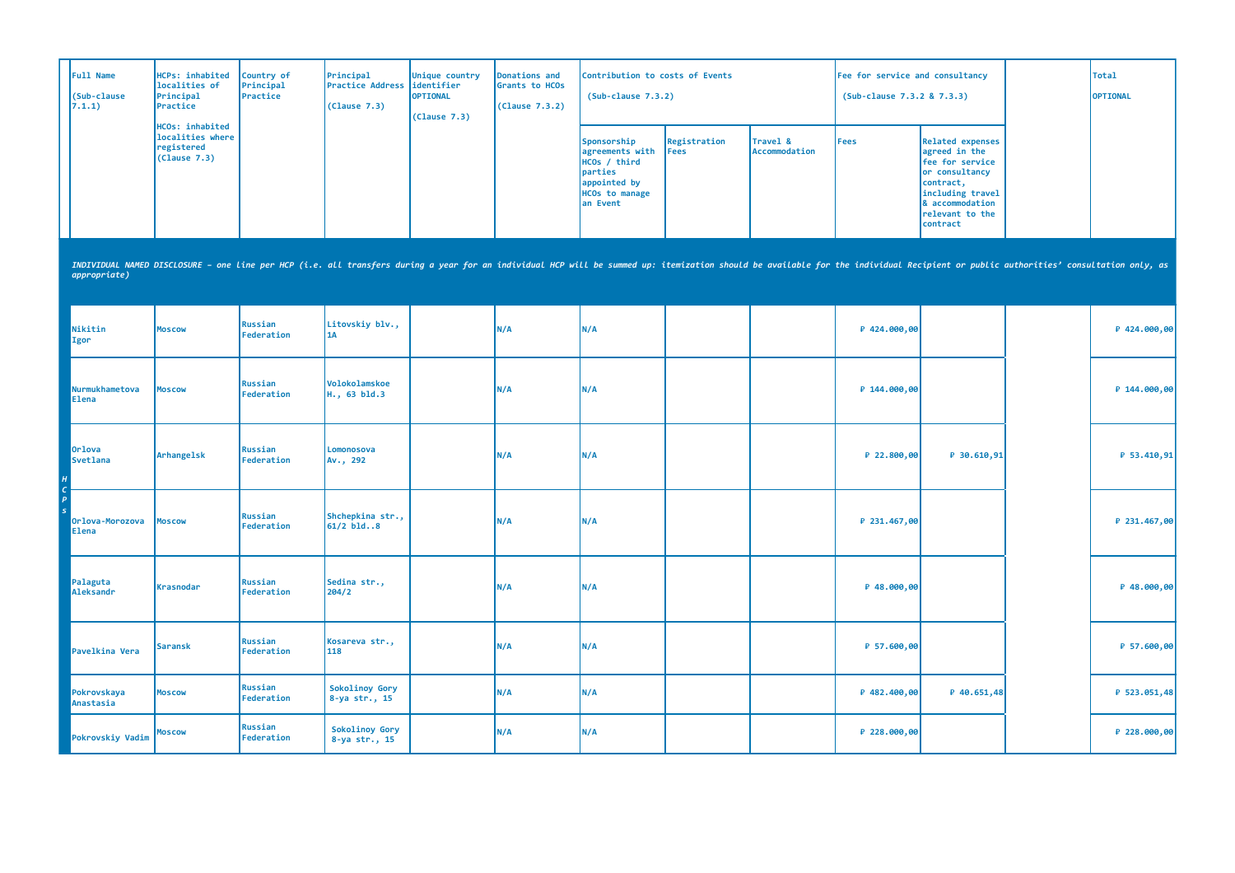| Full Name<br>(Sub-clause<br>7.1.1) | HCPs: inhabited<br>localities of<br>Principal<br>Practice         | Country of<br>Principal<br>Practice | Principal<br>Practice Address<br>(Clause 7.3)                                                                                                                                                                                  | Unique country<br>identifier<br><b>OPTIONAL</b><br>(Clause 7.3) | Donations and<br>Grants to HCOs<br>(Clause 7.3.2) | Contribution to costs of Events<br>$(Sub-clause 7.3.2)$                                                        |                      |                           | Fee for service and consultancy<br>(Sub-clause 7.3.2 & 7.3.3) |                                                                                                                                                                  | <b>Total</b><br>OPTIONAL |
|------------------------------------|-------------------------------------------------------------------|-------------------------------------|--------------------------------------------------------------------------------------------------------------------------------------------------------------------------------------------------------------------------------|-----------------------------------------------------------------|---------------------------------------------------|----------------------------------------------------------------------------------------------------------------|----------------------|---------------------------|---------------------------------------------------------------|------------------------------------------------------------------------------------------------------------------------------------------------------------------|--------------------------|
|                                    | HCOs: inhabited<br>localities where<br>registered<br>(Clause 7.3) |                                     |                                                                                                                                                                                                                                |                                                                 |                                                   | Sponsorship<br>agreements with<br>HCOs / third<br>parties<br>appointed by<br><b>HCOs to manage</b><br>an Event | Registration<br>Fees | Travel &<br>Accommodation | <b>Fees</b>                                                   | <b>Related expenses</b><br>agreed in the<br>fee for service<br>or consultancy<br>contract,<br>including travel<br>& accommodation<br>relevant to the<br>contract |                          |
| appropriate)                       |                                                                   |                                     | INDIVIDUAL NAMED DISCLOSURE - one Line per HCP (i.e. all transfers during a year for an individual HCP will be summed up: itemization should be available for the individual Recipient or public authorities' consultation onl |                                                                 |                                                   |                                                                                                                |                      |                           |                                                               |                                                                                                                                                                  |                          |
| Nikitin<br>Igor                    | <b>Moscow</b>                                                     | Russian<br>Federation               | Litovskiy blv.,<br><b>1A</b>                                                                                                                                                                                                   |                                                                 | N/A                                               | N/A                                                                                                            |                      |                           | ₽ 424.000,00                                                  |                                                                                                                                                                  | ₽ 424.000,00             |
| Nurmukhametova<br><b>Elena</b>     | <b>Moscow</b>                                                     | <b>Russian</b><br>Federation        | Volokolamskoe<br>H., 63 bld.3                                                                                                                                                                                                  |                                                                 | N/A                                               | N/A                                                                                                            |                      |                           | P 144.000,00                                                  |                                                                                                                                                                  | ₽ 144.000,00             |
| <b>Orlova</b><br>Svetlana          | Arhangelsk                                                        | Russian<br>Federation               | Lomonosova<br>Av., 292                                                                                                                                                                                                         |                                                                 | N/A                                               | N/A                                                                                                            |                      |                           | ₽ 22.800,00                                                   | ₽ 30.610,91                                                                                                                                                      | ₽ 53.410,91              |
| Orlova-Morozova<br><b>Elena</b>    | <b>Moscow</b>                                                     | Russian<br>Federation               | Shchepkina str.,<br>$61/2$ bld8                                                                                                                                                                                                |                                                                 | N/A                                               | N/A                                                                                                            |                      |                           | ₽ 231.467,00                                                  |                                                                                                                                                                  | ₽ 231.467,00             |
| Palaguta<br>Aleksandr              | <b>Krasnodar</b>                                                  | Russian<br>Federation               | Sedina str.,<br>204/2                                                                                                                                                                                                          |                                                                 | N/A                                               | N/A                                                                                                            |                      |                           | ₽ 48.000,00                                                   |                                                                                                                                                                  | ₽ 48.000,00              |
| Pavelkina Vera                     | <b>Saransk</b>                                                    | <b>Russian</b><br>Federation        | Kosareva str.,<br>118                                                                                                                                                                                                          |                                                                 | N/A                                               | N/A                                                                                                            |                      |                           | ₽ 57.600,00                                                   |                                                                                                                                                                  | ₽ 57.600,00              |
| Pokrovskaya<br>Anastasia           | <b>Moscow</b>                                                     | <b>Russian</b><br>Federation        | Sokolinoy Gory<br>8-ya str., 15                                                                                                                                                                                                |                                                                 | N/A                                               | N/A                                                                                                            |                      |                           | P 482.400,00                                                  | ₽ 40.651,48                                                                                                                                                      | ₽ 523.051,48             |
| Pokrovskiy Vadim                   | <b>Moscow</b>                                                     | <b>Russian</b><br>Federation        | Sokolinoy Gory<br>8-ya str., 15                                                                                                                                                                                                |                                                                 | N/A                                               | N/A                                                                                                            |                      |                           | ₽ 228.000,00                                                  |                                                                                                                                                                  | ₽ 228.000,00             |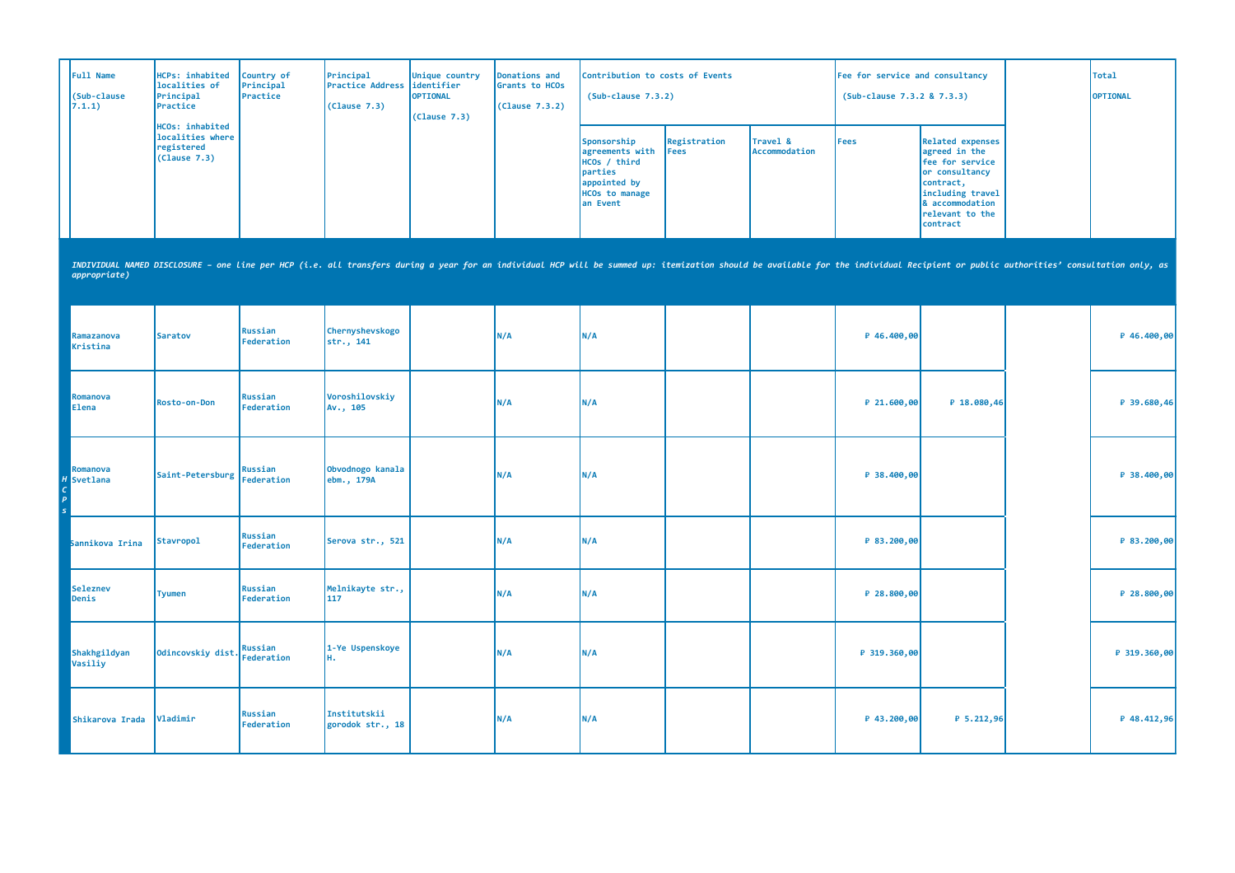| Full Name<br>(Sub-clause<br>7.1.1)              | <b>HCPs: inhabited</b><br>localities of<br>Principal<br>Practice                                                                                                                                                               | Country of<br>Principal<br>Practice | Principal<br><b>Practice Address</b><br>(Clause 7.3) | Unique country<br>identifier<br><b>OPTIONAL</b><br>(Clause 7.3) | <b>Donations and</b><br>Grants to HCOs<br>(Clause 7.3.2) | Contribution to costs of Events<br>$(Sub-clause 7.3.2)$                                                        |                      |                           | Fee for service and consultancy<br>(Sub-clause 7.3.2 & 7.3.3) |                                                                                                                                                                  | <b>Total</b><br>OPTIONAL |
|-------------------------------------------------|--------------------------------------------------------------------------------------------------------------------------------------------------------------------------------------------------------------------------------|-------------------------------------|------------------------------------------------------|-----------------------------------------------------------------|----------------------------------------------------------|----------------------------------------------------------------------------------------------------------------|----------------------|---------------------------|---------------------------------------------------------------|------------------------------------------------------------------------------------------------------------------------------------------------------------------|--------------------------|
|                                                 | <b>HCOs: inhabited</b><br>localities where<br>registered<br>(Clause 7.3)                                                                                                                                                       |                                     |                                                      |                                                                 |                                                          | Sponsorship<br>agreements with<br>HCOs / third<br>parties<br>appointed by<br><b>HCOs to manage</b><br>an Event | Registration<br>Fees | Travel &<br>Accommodation | <b>Fees</b>                                                   | <b>Related expenses</b><br>agreed in the<br>fee for service<br>or consultancy<br>contract,<br>including travel<br>& accommodation<br>relevant to the<br>contract |                          |
| appropriate)                                    | INDIVIDUAL NAMED DISCLOSURE - one line per HCP (i.e. all transfers during a year for an individual HCP will be summed up: itemization should be available for the individual Recipient or public authorities' consultation onl |                                     |                                                      |                                                                 |                                                          |                                                                                                                |                      |                           |                                                               |                                                                                                                                                                  |                          |
| Ramazanova<br>Kristina                          | <b>Saratov</b>                                                                                                                                                                                                                 | Russian<br>Federation               | Chernyshevskogo<br>str., 141                         |                                                                 | N/A                                                      | N/A                                                                                                            |                      |                           | ₽ 46.400,00                                                   |                                                                                                                                                                  | ₽ 46.400,00              |
| Romanova<br><b>Elena</b>                        | Rosto-on-Don                                                                                                                                                                                                                   | Russian<br>Federation               | Voroshilovskiy<br>Av., 105                           |                                                                 | N/A                                                      | N/A                                                                                                            |                      |                           | P 21.600,00                                                   | ₽ 18.080,46                                                                                                                                                      | ₽ 39.680,46              |
| Romanova<br><b>H</b> Svetlana<br>$\overline{p}$ | Saint-Petersburg                                                                                                                                                                                                               | Russian<br><b>Federation</b>        | Obvodnogo kanala<br>ebm., 179A                       |                                                                 | N/A                                                      | <b>N/A</b>                                                                                                     |                      |                           | ₽ 38.400,00                                                   |                                                                                                                                                                  | ₽ 38.400,00              |
| Sannikova Irina                                 | Stavropol                                                                                                                                                                                                                      | Russian<br>Federation               | Serova str., 521                                     |                                                                 | N/A                                                      | N/A                                                                                                            |                      |                           | ₽ 83.200,00                                                   |                                                                                                                                                                  | ₽ 83.200,00              |
| <b>Seleznev</b><br>Denis                        | <b>Tyumen</b>                                                                                                                                                                                                                  | Russian<br>Federation               | Melnikayte str.,<br>117                              |                                                                 | N/A                                                      | N/A                                                                                                            |                      |                           | ₽ 28.800,00                                                   |                                                                                                                                                                  | ₽ 28.800,00              |
| Shakhgildyan<br>Vasiliy                         | Odincovskiy dist.                                                                                                                                                                                                              | Russian<br>Federation               | 1-Ye Uspenskoye<br>н.                                |                                                                 | N/A                                                      | <b>N/A</b>                                                                                                     |                      |                           | ₽ 319.360,00                                                  |                                                                                                                                                                  | ₽ 319.360,00             |
| Shikarova Irada                                 | Vladimir                                                                                                                                                                                                                       | <b>Russian</b><br>Federation        | Institutskii<br>gorodok str., 18                     |                                                                 | N/A                                                      | N/A                                                                                                            |                      |                           | ₽ 43.200,00                                                   | ₽ 5.212,96                                                                                                                                                       | ₽ 48.412,96              |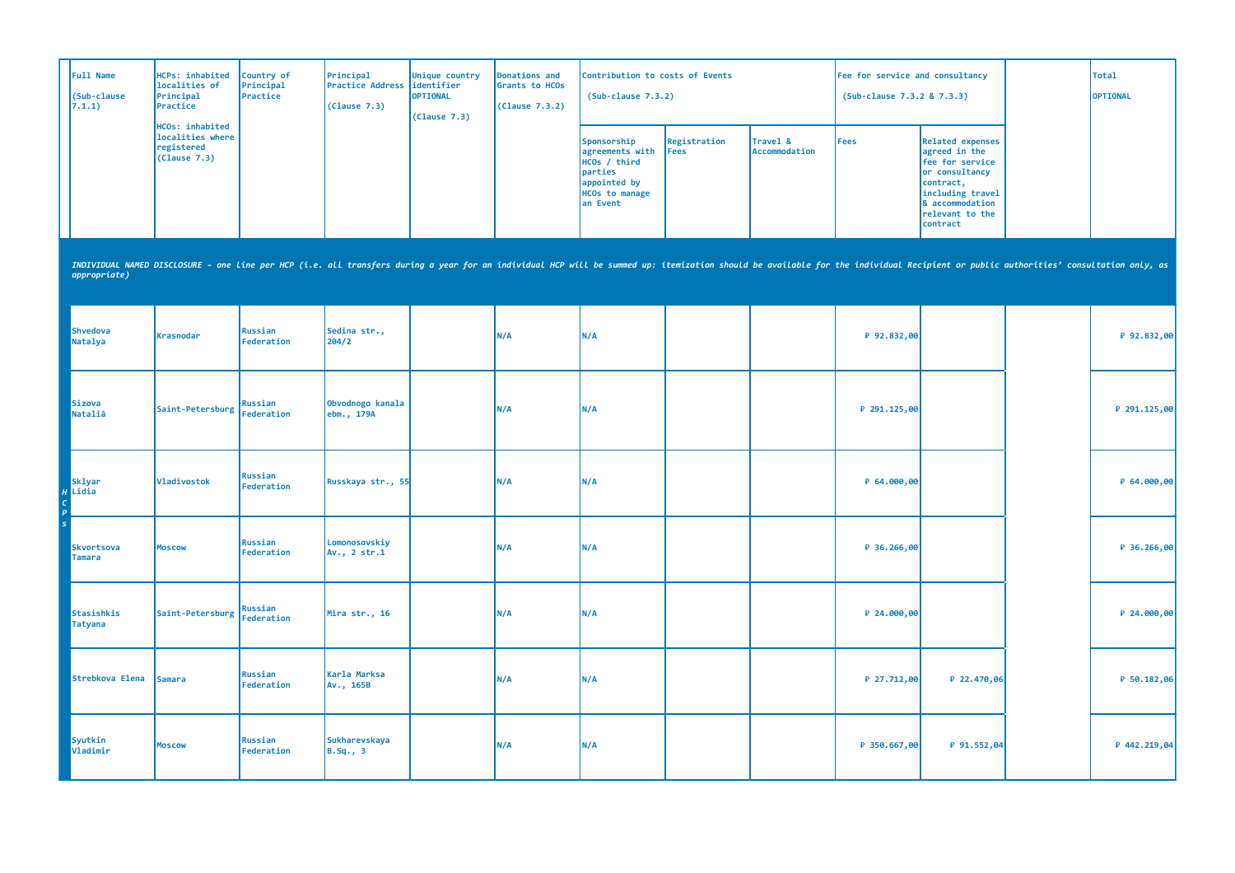| Full Name<br>(Sub-clause<br>7.1.1)       | HCPs: inhabited<br>localities of<br>Principal<br>Practice                                                                                                                                                                      | Country of<br>Principal<br>Practice | Principal<br><b>Practice Address</b><br>(Clause 7.3) | Unique country<br>identifier<br><b>OPTIONAL</b><br>(Clause 7.3) | Donations and<br>Grants to HCOs<br>(Clause 7.3.2) | Contribution to costs of Events<br>$(Sub-clause 7.3.2)$                                                        |                      |                           | Fee for service and consultancy<br>(Sub-clause 7.3.2 & 7.3.3) |                                                                                                                                                                  | <b>Total</b><br>OPTIONAL |
|------------------------------------------|--------------------------------------------------------------------------------------------------------------------------------------------------------------------------------------------------------------------------------|-------------------------------------|------------------------------------------------------|-----------------------------------------------------------------|---------------------------------------------------|----------------------------------------------------------------------------------------------------------------|----------------------|---------------------------|---------------------------------------------------------------|------------------------------------------------------------------------------------------------------------------------------------------------------------------|--------------------------|
|                                          | HCOs: inhabited<br>localities where<br>registered<br>(Clause 7.3)                                                                                                                                                              |                                     |                                                      |                                                                 |                                                   | Sponsorship<br>agreements with<br>HCOs / third<br>parties<br>appointed by<br><b>HCOs</b> to manage<br>an Event | Registration<br>Fees | Travel &<br>Accommodation | <b>Fees</b>                                                   | <b>Related expenses</b><br>agreed in the<br>fee for service<br>or consultancy<br>contract,<br>including travel<br>& accommodation<br>relevant to the<br>contract |                          |
| appropriate)                             | INDIVIDUAL NAMED DISCLOSURE - one line per HCP (i.e. all transfers during a year for an individual HCP will be summed up: itemization should be available for the individual Recipient or public authorities' consultation onl |                                     |                                                      |                                                                 |                                                   |                                                                                                                |                      |                           |                                                               |                                                                                                                                                                  |                          |
| <b>Shvedova</b><br>Natalya               | Krasnodar                                                                                                                                                                                                                      | Russian<br>Federation               | Sedina str.,<br>204/2                                |                                                                 | N/A                                               | N/A                                                                                                            |                      |                           | ₽ 92.832,00                                                   |                                                                                                                                                                  | ₽ 92.832,00              |
| Sizova<br>Nataliâ                        | Saint-Petersburg                                                                                                                                                                                                               | Russian<br>Federation               | Obvodnogo kanala<br>ebm., 179A                       |                                                                 | N/A                                               | N/A                                                                                                            |                      |                           | P 291.125,00                                                  |                                                                                                                                                                  | ₽ 291.125,00             |
| <b>Sklyar</b><br>$H$ Lidia<br>$\epsilon$ | Vladivostok                                                                                                                                                                                                                    | Russian<br>Federation               | Russkaya str., 55                                    |                                                                 | N/A                                               | N/A                                                                                                            |                      |                           | ₽ 64.000,00                                                   |                                                                                                                                                                  | ₽ 64.000,00              |
| Skvortsova<br><b>Tamara</b>              | <b>Moscow</b>                                                                                                                                                                                                                  | Russian<br>Federation               | Lomonosovskiy<br>Av., 2 str.1                        |                                                                 | N/A                                               | N/A                                                                                                            |                      |                           | ₽ 36.266,00                                                   |                                                                                                                                                                  | ₽ 36.266,00              |
| Stasishkis<br>Tatyana                    | Saint-Petersburg                                                                                                                                                                                                               | <b>Russian</b><br>Federation        | Mira str., 16                                        |                                                                 | N/A                                               | N/A                                                                                                            |                      |                           | ₽ 24.000,00                                                   |                                                                                                                                                                  | ₽ 24.000,00              |
| Strebkova Elena                          | <b>Samara</b>                                                                                                                                                                                                                  | <b>Russian</b><br>Federation        | Karla Marksa<br>Av., 165B                            |                                                                 | N/A                                               | N/A                                                                                                            |                      |                           | ₽ 27.712,00                                                   | ₽ 22.470,06                                                                                                                                                      | ₽ 50.182,06              |
| Syutkin<br>Vladimir                      | <b>Moscow</b>                                                                                                                                                                                                                  | <b>Russian</b><br>Federation        | <b>Sukharevskaya</b><br>$B.Sq.$ , 3                  |                                                                 | N/A                                               | N/A                                                                                                            |                      |                           | P 350.667,00                                                  | ₽ 91.552,04                                                                                                                                                      | ₽ 442.219,04             |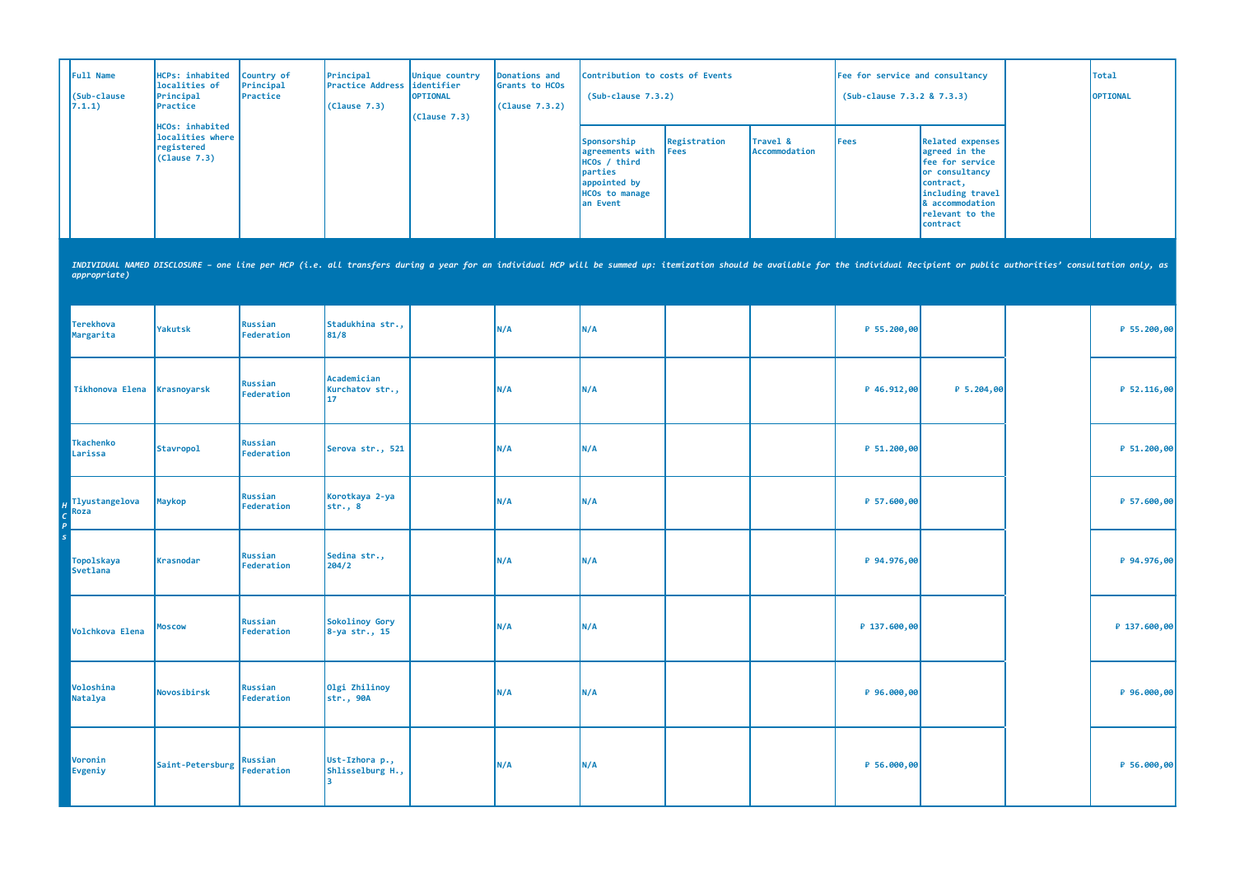| Full Name<br>(Sub-clause<br>7.1.1)   | <b>HCPs: inhabited</b><br>localities of<br>Principal<br>Practice                                                                                                                                                               | Country of<br>Principal<br>Practice | Principal<br><b>Practice Address</b><br>(Clause 7.3) | Unique country<br>identifier<br><b>OPTIONAL</b><br>(Cause 7.3) | <b>Donations and</b><br>Grants to HCOs<br>(Clause 7.3.2) | Contribution to costs of Events<br>$(Sub-clause 7.3.2)$                                                        |                             |                           | Fee for service and consultancy<br>(Sub-clause 7.3.2 & 7.3.3) |                                                                                                                                                                  | <b>Total</b><br><b>OPTIONAL</b> |
|--------------------------------------|--------------------------------------------------------------------------------------------------------------------------------------------------------------------------------------------------------------------------------|-------------------------------------|------------------------------------------------------|----------------------------------------------------------------|----------------------------------------------------------|----------------------------------------------------------------------------------------------------------------|-----------------------------|---------------------------|---------------------------------------------------------------|------------------------------------------------------------------------------------------------------------------------------------------------------------------|---------------------------------|
|                                      | <b>HCOs: inhabited</b><br>localities where<br>registered<br>(Clause 7.3)                                                                                                                                                       |                                     |                                                      |                                                                |                                                          | Sponsorship<br>agreements with<br>HCOs / third<br>parties<br>appointed by<br><b>HCOs to manage</b><br>an Event | Registration<br><b>Fees</b> | Travel &<br>Accommodation | <b>Fees</b>                                                   | <b>Related expenses</b><br>agreed in the<br>fee for service<br>or consultancy<br>contract,<br>including travel<br>& accommodation<br>relevant to the<br>contract |                                 |
| appropriate)                         | INDIVIDUAL NAMED DISCLOSURE - one line per HCP (i.e. all transfers during a year for an individual HCP will be summed up: itemization should be available for the individual Recipient or public authorities' consultation onl |                                     |                                                      |                                                                |                                                          |                                                                                                                |                             |                           |                                                               |                                                                                                                                                                  |                                 |
| <b>Terekhova</b><br>Margarita        | <b>Yakutsk</b>                                                                                                                                                                                                                 | Russian<br>Federation               | Stadukhina str.,<br>81/8                             |                                                                | N/A                                                      | N/A                                                                                                            |                             |                           | ₽ 55.200,00                                                   |                                                                                                                                                                  | ₽ 55.200,00                     |
| Tikhonova Elena                      | Krasnoyarsk                                                                                                                                                                                                                    | Russian<br>Federation               | Academician<br>Kurchatov str.,<br>17                 |                                                                | N/A                                                      | N/A                                                                                                            |                             |                           | ₽ 46.912,00                                                   | ₽ 5.204,00                                                                                                                                                       | ₽ 52.116,00                     |
| <b>Tkachenko</b><br>Larissa          | <b>Stavropol</b>                                                                                                                                                                                                               | <b>Russian</b><br>Federation        | Serova str., 521                                     |                                                                | N/A                                                      | N/A                                                                                                            |                             |                           | ₽ 51.200,00                                                   |                                                                                                                                                                  | ₽ 51.200,00                     |
| Tlyustangelova<br>Roza               | <b>Maykop</b>                                                                                                                                                                                                                  | Russian<br>Federation               | Korotkaya 2-ya<br>str., 8                            |                                                                | N/A                                                      | N/A                                                                                                            |                             |                           | ₽ 57.600,00                                                   |                                                                                                                                                                  | ₽ 57.600,00                     |
| <b>Topolskaya</b><br><b>Svetlana</b> | Krasnodar                                                                                                                                                                                                                      | Russian<br>Federation               | Sedina str.,<br>204/2                                |                                                                | N/A                                                      | N/A                                                                                                            |                             |                           | ₽ 94.976,00                                                   |                                                                                                                                                                  | ₽ 94.976,00                     |
| Volchkova Elena                      | <b>Moscow</b>                                                                                                                                                                                                                  | <b>Russian</b><br>Federation        | Sokolinoy Gory<br>8-ya str., 15                      |                                                                | N/A                                                      | N/A                                                                                                            |                             |                           | ₽ 137.600,00                                                  |                                                                                                                                                                  | ₽ 137.600,00                    |
| Voloshina<br>Natalya                 | Novosibirsk                                                                                                                                                                                                                    | Russian<br>Federation               | Olgi Zhilinoy<br>str., 90A                           |                                                                | N/A                                                      | N/A                                                                                                            |                             |                           | ₽ 96.000,00                                                   |                                                                                                                                                                  | ₽ 96.000,00                     |
| Voronin<br>Evgeniy                   | Saint-Petersburg                                                                                                                                                                                                               | Russian<br>Federation               | Ust-Izhora p.,<br>Shlisselburg H.,                   |                                                                | N/A                                                      | N/A                                                                                                            |                             |                           | ₽ 56.000,00                                                   |                                                                                                                                                                  | ₽ 56.000,00                     |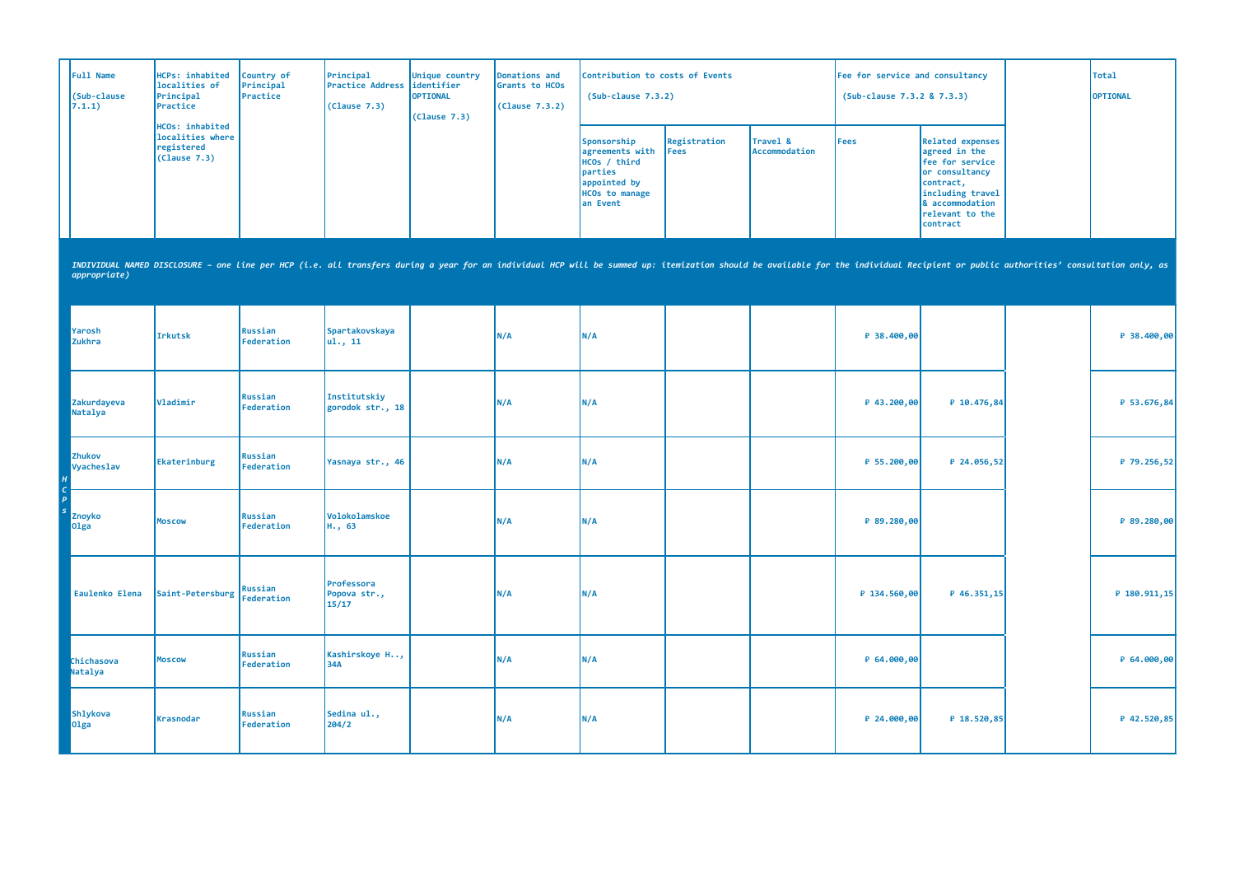| Full Name<br>(Sub-clause<br>7.1.1) | <b>HCPs: inhabited</b><br>localities of<br>Principal<br>Practice                                                                                                                                                               | Country of<br>Principal<br>Practice | Principal<br>Practice Address<br>(Clause 7.3) | Unique country<br>identifier<br><b>OPTIONAL</b><br>(Clause 7.3) | Donations and<br>Grants to HCOs<br>(Clause 7.3.2) | Contribution to costs of Events<br>$(Sub-clause 7.3.2)$                                                        |                      |                           | Fee for service and consultancy<br>(Sub-clause 7.3.2 & 7.3.3) |                                                                                                                                                                  | <b>Total</b><br>OPTIONAL |
|------------------------------------|--------------------------------------------------------------------------------------------------------------------------------------------------------------------------------------------------------------------------------|-------------------------------------|-----------------------------------------------|-----------------------------------------------------------------|---------------------------------------------------|----------------------------------------------------------------------------------------------------------------|----------------------|---------------------------|---------------------------------------------------------------|------------------------------------------------------------------------------------------------------------------------------------------------------------------|--------------------------|
|                                    | <b>HCOs: inhabited</b><br>localities where<br>registered<br>(Clause 7.3)                                                                                                                                                       |                                     |                                               |                                                                 |                                                   | Sponsorship<br>agreements with<br>HCOs / third<br>parties<br>appointed by<br><b>HCOs to manage</b><br>an Event | Registration<br>Fees | Travel &<br>Accommodation | <b>Fees</b>                                                   | <b>Related expenses</b><br>agreed in the<br>fee for service<br>or consultancy<br>contract,<br>including travel<br>& accommodation<br>relevant to the<br>contract |                          |
| appropriate)                       | INDIVIDUAL NAMED DISCLOSURE - one line per HCP (i.e. all transfers during a year for an individual HCP will be summed up: itemization should be available for the individual Recipient or public authorities' consultation onl |                                     |                                               |                                                                 |                                                   |                                                                                                                |                      |                           |                                                               |                                                                                                                                                                  |                          |
| Yarosh<br><b>Zukhra</b>            | <b>Irkutsk</b>                                                                                                                                                                                                                 | Russian<br>Federation               | Spartakovskaya<br>ul., 11                     |                                                                 | N/A                                               | <b>N/A</b>                                                                                                     |                      |                           | ₽ 38.400,00                                                   |                                                                                                                                                                  | ₽ 38.400,00              |
| Zakurdayeva<br>Natalya             | Vladimir                                                                                                                                                                                                                       | Russian<br>Federation               | Institutskiy<br>gorodok str., 18              |                                                                 | N/A                                               | N/A                                                                                                            |                      |                           | $P$ 43.200,00                                                 | ₽ 10.476,84                                                                                                                                                      | ₽ 53.676,84              |
| Zhukov<br>Vyacheslav               | Ekaterinburg                                                                                                                                                                                                                   | <b>Russian</b><br>Federation        | Yasnaya str., 46                              |                                                                 | N/A                                               | N/A                                                                                                            |                      |                           | ₽ 55.200,00                                                   | ₽ 24.056,52                                                                                                                                                      | ₽ 79.256,52              |
| <b>Znoyko</b><br>0 <sub>lga</sub>  | <b>Moscow</b>                                                                                                                                                                                                                  | <b>Russian</b><br>Federation        | Volokolamskoe<br>H., 63                       |                                                                 | N/A                                               | N/A                                                                                                            |                      |                           | ₽ 89.280,00                                                   |                                                                                                                                                                  | ₽ 89.280,00              |
| Eaulenko Elena                     | Saint-Petersburg                                                                                                                                                                                                               | Russian<br>Federation               | Professora<br>Popova str.,<br>15/17           |                                                                 | N/A                                               | N/A                                                                                                            |                      |                           | ₽ 134.560,00                                                  | ₽ 46.351,15                                                                                                                                                      | ₽ 180.911,15             |
| Chichasova<br>Natalya              | <b>Moscow</b>                                                                                                                                                                                                                  | Russian<br>Federation               | Kashirskoye H,<br>34A                         |                                                                 | N/A                                               | N/A                                                                                                            |                      |                           | P 64.000,00                                                   |                                                                                                                                                                  | ₽ 64.000,00              |
| Shlykova<br>0lga                   | Krasnodar                                                                                                                                                                                                                      | Russian<br>Federation               | Sedina ul.,<br>204/2                          |                                                                 | N/A                                               | N/A                                                                                                            |                      |                           | ₽ 24.000,00                                                   | ₽ 18.520,85                                                                                                                                                      | ₽ 42.520,85              |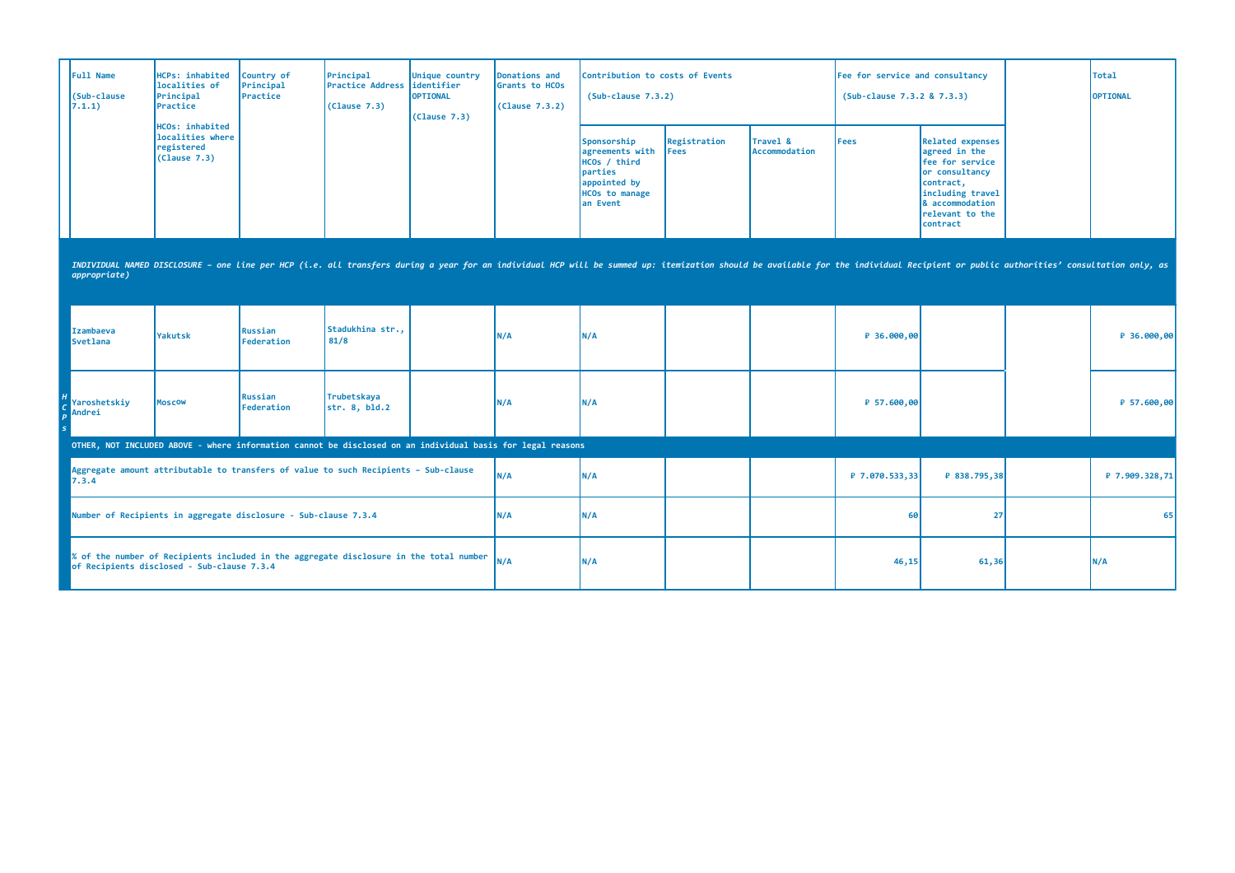| <b>Full Name</b><br>(Sub-clause<br>7.1.1)                                                                                                                                                                                                      | <b>HCPs: inhabited</b><br>localities of<br>Principal<br>Practice                                                                                                                                  | Country of<br>Principal<br>Practice | Principal<br><b>Practice Address</b><br>(Clause 7.3) | Unique country<br>lidentifier<br>OPTIONAL<br>(Clause 7.3) | <b>Donations and</b><br><b>Grants to HCOs</b><br>(Clause 7.3.2) | Contribution to costs of Events<br>$(Sub-clause 7.3.2)$                                                         |                             |                           | Fee for service and consultancy<br>(Sub-clause 7.3.2 & 7.3.3) |                                                                                                                                                                             | Total<br>OPTIONAL |
|------------------------------------------------------------------------------------------------------------------------------------------------------------------------------------------------------------------------------------------------|---------------------------------------------------------------------------------------------------------------------------------------------------------------------------------------------------|-------------------------------------|------------------------------------------------------|-----------------------------------------------------------|-----------------------------------------------------------------|-----------------------------------------------------------------------------------------------------------------|-----------------------------|---------------------------|---------------------------------------------------------------|-----------------------------------------------------------------------------------------------------------------------------------------------------------------------------|-------------------|
|                                                                                                                                                                                                                                                | HCOs: inhabited<br>localities where<br>registered<br>(Clause 7.3)                                                                                                                                 |                                     |                                                      |                                                           |                                                                 | Sponsorship<br>agreements with<br>HCOs / third<br>parties<br>appointed by<br><b>HCOs to manage</b><br>lan Event | Registration<br><b>Fees</b> | Travel &<br>Accommodation | <b>Fees</b>                                                   | <b>Related expenses</b><br>agreed in the<br>fee for service<br>or consultancy<br>contract,<br>including travel<br><b>&amp; accommodation</b><br>relevant to the<br>contract |                   |
| INDIVIDUAL NAMED DISCLOSURE - one line per HCP (i.e. all transfers during a year for an individual HCP will be summed up: itemization should be available for the individual Recipient or public authorities' consultation onl<br>appropriate) |                                                                                                                                                                                                   |                                     |                                                      |                                                           |                                                                 |                                                                                                                 |                             |                           |                                                               |                                                                                                                                                                             |                   |
| <b>Izambaeva</b><br><b>Svetlana</b>                                                                                                                                                                                                            | Yakutsk                                                                                                                                                                                           | Russian<br>Federation               | Stadukhina str<br>81/8                               |                                                           | N/A                                                             | N/A                                                                                                             |                             |                           | ₽ 36.000,00                                                   |                                                                                                                                                                             | ₽ 36.000,00       |
| Yaroshetskiy<br>Andrei                                                                                                                                                                                                                         | <b>Moscow</b>                                                                                                                                                                                     | Russian<br>Federation               | Trubetskaya<br>str. 8, bld.2                         |                                                           | N/A                                                             | N/A                                                                                                             |                             |                           | ₽ 57.600,00                                                   |                                                                                                                                                                             | $P$ 57.600,00     |
|                                                                                                                                                                                                                                                |                                                                                                                                                                                                   |                                     |                                                      |                                                           |                                                                 |                                                                                                                 |                             |                           |                                                               |                                                                                                                                                                             |                   |
| 7.3.4                                                                                                                                                                                                                                          | OTHER, NOT INCLUDED ABOVE - where information cannot be disclosed on an individual basis for legal reasons<br>Aggregate amount attributable to transfers of value to such Recipients - Sub-clause |                                     |                                                      |                                                           | N/A                                                             | N/A                                                                                                             |                             |                           | ₽ 7.070.533,33                                                | ₽ 838.795,38                                                                                                                                                                | ₽ 7.909.328,71    |
|                                                                                                                                                                                                                                                | Number of Recipients in aggregate disclosure - Sub-clause 7.3.4                                                                                                                                   |                                     |                                                      |                                                           | N/A                                                             | N/A                                                                                                             |                             |                           | 60                                                            | 27                                                                                                                                                                          | 65                |
| of Recipients disclosed - Sub-clause 7.3.4                                                                                                                                                                                                     | % of the number of Recipients included in the aggregate disclosure in the total number                                                                                                            |                                     |                                                      |                                                           | N/A                                                             | N/A                                                                                                             |                             |                           | 46,15                                                         | 61,36                                                                                                                                                                       | N/A               |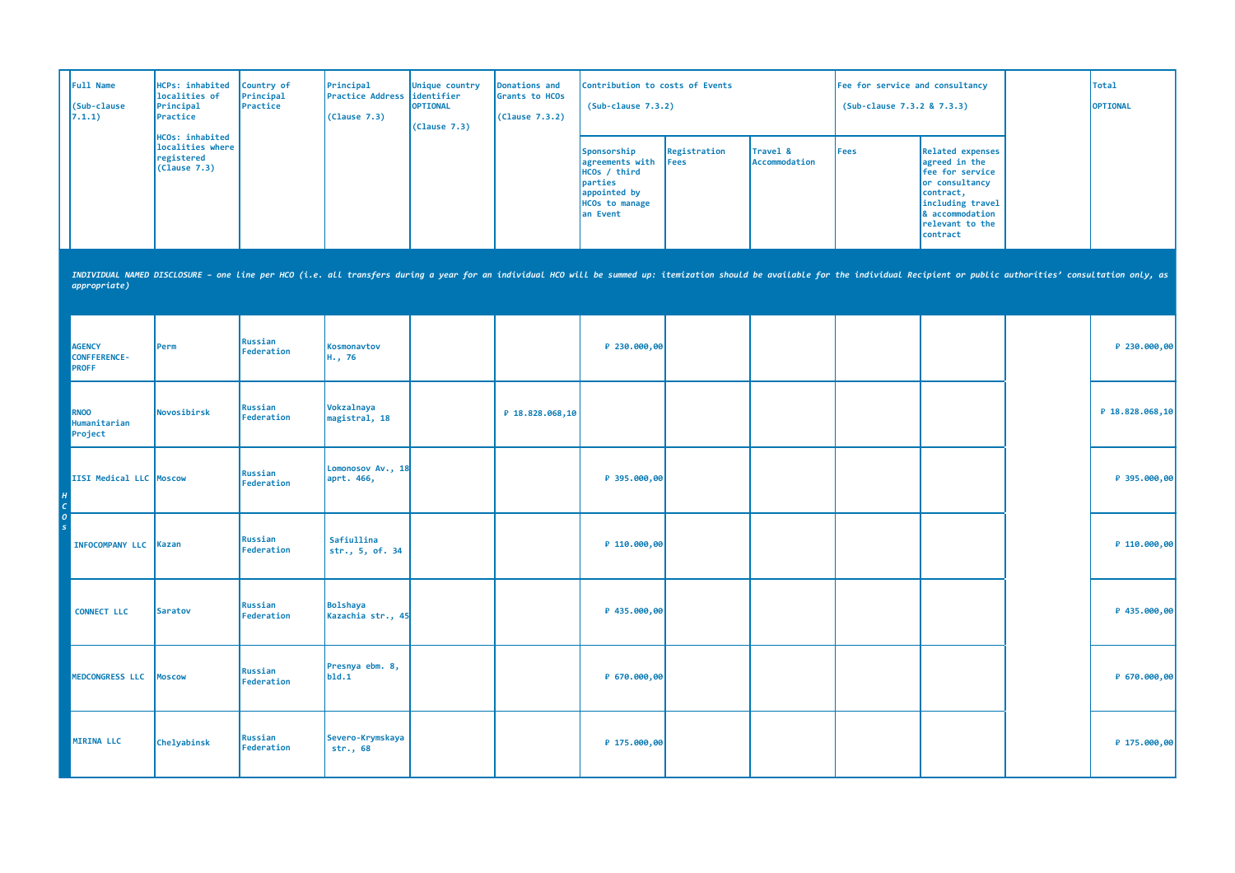| Full Name<br>(Sub-clause<br>7.1.1)                   | HCPs: inhabited<br>localities of<br>Principal<br>Practice         | Country of<br>Principal<br>Practice | Principal<br><b>Practice Address</b><br>(Clause 7.3) | Unique country<br>identifier<br><b>OPTIONAL</b><br>(Clause 7.3) | Donations and<br>Grants to HCOs<br>(Clause 7.3.2) | Contribution to costs of Events<br>$(Sub-clause 7.3.2)$                                                        |                             |                           | Fee for service and consultancy<br>(Sub-clause 7.3.2 & 7.3.3) |                                                                                                                                                                                                                                | <b>Total</b><br>OPTIONAL |
|------------------------------------------------------|-------------------------------------------------------------------|-------------------------------------|------------------------------------------------------|-----------------------------------------------------------------|---------------------------------------------------|----------------------------------------------------------------------------------------------------------------|-----------------------------|---------------------------|---------------------------------------------------------------|--------------------------------------------------------------------------------------------------------------------------------------------------------------------------------------------------------------------------------|--------------------------|
|                                                      | HCOs: inhabited<br>localities where<br>registered<br>(Clause 7.3) |                                     |                                                      |                                                                 |                                                   | Sponsorship<br>agreements with<br>HCOs / third<br>parties<br>appointed by<br><b>HCOs to manage</b><br>an Event | Registration<br><b>Fees</b> | Travel &<br>Accommodation | Fees                                                          | <b>Related expenses</b><br>agreed in the<br>fee for service<br>or consultancy<br>contract,<br>including travel<br>& accommodation<br>relevant to the<br>contract                                                               |                          |
| appropriate)                                         |                                                                   |                                     |                                                      |                                                                 |                                                   |                                                                                                                |                             |                           |                                                               | INDIVIDUAL NAMED DISCLOSURE - one line per HCO (i.e. all transfers during a year for an individual HCO will be summed up: itemization should be available for the individual Recipient or public authorities' consultation onl |                          |
| <b>AGENCY</b><br><b>CONFFERENCE-</b><br><b>PROFF</b> | Perm                                                              | Russian<br>Federation               | Kosmonavtov<br>H., 76                                |                                                                 |                                                   | ₽ 230.000,00                                                                                                   |                             |                           |                                                               |                                                                                                                                                                                                                                | P 230.000,00             |
| <b>RNOO</b><br>Humanitarian<br>Project               | Novosibirsk                                                       | Russian<br>Federation               | Vokzalnaya<br>magistral, 18                          |                                                                 | ₽ 18.828.068,10                                   |                                                                                                                |                             |                           |                                                               |                                                                                                                                                                                                                                | ₽ 18.828.068,10          |
| IISI Medical LLC Moscow                              |                                                                   | Russian<br>Federation               | Lomonosov Av., 18<br>aprt. 466,                      |                                                                 |                                                   | P 395.000,00                                                                                                   |                             |                           |                                                               |                                                                                                                                                                                                                                | ₽ 395.000,00             |
| INFOCOMPANY LLC Kazan                                |                                                                   | Russian<br>Federation               | Safiullina<br>str., 5, of. 34                        |                                                                 |                                                   | P 110.000,00                                                                                                   |                             |                           |                                                               |                                                                                                                                                                                                                                | P 110.000,00             |
| <b>CONNECT LLC</b>                                   | <b>Saratov</b>                                                    | Russian<br>Federation               | <b>Bolshaya</b><br>Kazachia str., 45                 |                                                                 |                                                   | P 435.000,00                                                                                                   |                             |                           |                                                               |                                                                                                                                                                                                                                | ₽ 435.000,00             |
| <b>MEDCONGRESS LLC</b>                               | <b>Moscow</b>                                                     | Russian<br>Federation               | Presnya ebm. 8,<br>b1d.1                             |                                                                 |                                                   | P 670.000,00                                                                                                   |                             |                           |                                                               |                                                                                                                                                                                                                                | P 670.000,00             |
| <b>MIRINA LLC</b>                                    | Chelyabinsk                                                       | Russian<br>Federation               | Severo-Krymskaya<br>str., 68                         |                                                                 |                                                   | P 175.000,00                                                                                                   |                             |                           |                                                               |                                                                                                                                                                                                                                | P 175.000,00             |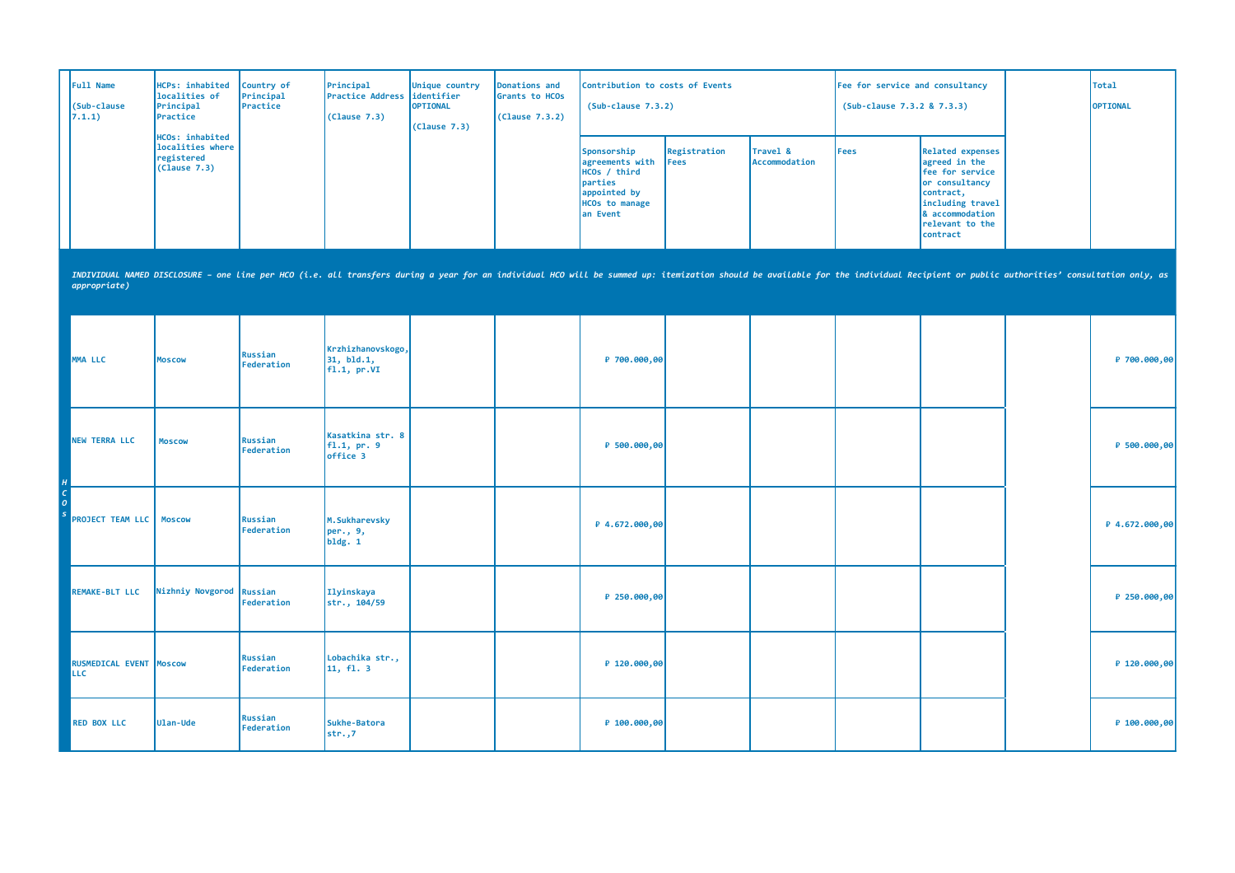| Full Name<br>(Sub-clause<br>7.1.1)    | HCPs: inhabited<br>localities of<br>Principal<br>Practice         | Country of<br>Principal<br>Practice | Principal<br><b>Practice Address</b><br>(Clause 7.3) | Unique country<br>identifier<br><b>OPTIONAL</b><br>(Clause 7.3) | Donations and<br>Grants to HCOs<br>(Clause 7.3.2) | Contribution to costs of Events<br>$(Sub-clause 7.3.2)$                                                        |                      |                           | Fee for service and consultancy<br>(Sub-clause 7.3.2 & 7.3.3) |                                                                                                                                                                                                                                | <b>Total</b><br><b>OPTIONAL</b> |
|---------------------------------------|-------------------------------------------------------------------|-------------------------------------|------------------------------------------------------|-----------------------------------------------------------------|---------------------------------------------------|----------------------------------------------------------------------------------------------------------------|----------------------|---------------------------|---------------------------------------------------------------|--------------------------------------------------------------------------------------------------------------------------------------------------------------------------------------------------------------------------------|---------------------------------|
|                                       | HCOs: inhabited<br>localities where<br>registered<br>(Clause 7.3) |                                     |                                                      |                                                                 |                                                   | Sponsorship<br>agreements with<br>HCOs / third<br>parties<br>appointed by<br><b>HCOs to manage</b><br>an Event | Registration<br>Fees | Travel &<br>Accommodation | <b>Fees</b>                                                   | <b>Related expenses</b><br>agreed in the<br>fee for service<br>or consultancy<br>contract,<br>including travel<br>& accommodation<br>relevant to the<br>contract                                                               |                                 |
| appropriate)                          |                                                                   |                                     |                                                      |                                                                 |                                                   |                                                                                                                |                      |                           |                                                               | INDIVIDUAL NAMED DISCLOSURE - one line per HCO (i.e. all transfers during a year for an individual HCO will be summed up: itemization should be available for the individual Recipient or public authorities' consultation onl |                                 |
| MMA LLC                               | <b>MOSCOW</b>                                                     | Russian<br>Federation               | Krzhizhanovskogo,<br>31, bld.1,<br>f1.1, pr.VI       |                                                                 |                                                   | ₽ 700.000,00                                                                                                   |                      |                           |                                                               |                                                                                                                                                                                                                                | P 700.000,00                    |
| <b>NEW TERRA LLC</b>                  | <b>Moscow</b>                                                     | Russian<br>Federation               | Kasatkina str. 8<br>f1.1, pr.9<br>office 3           |                                                                 |                                                   | ₽ 500.000,00                                                                                                   |                      |                           |                                                               |                                                                                                                                                                                                                                | ₽ 500.000,00                    |
| <b>PROJECT TEAM LLC   Moscow</b>      |                                                                   | Russian<br>Federation               | M.Sukharevsky<br>per., 9,<br>b1dg. 1                 |                                                                 |                                                   | ₽ 4.672.000,00                                                                                                 |                      |                           |                                                               |                                                                                                                                                                                                                                | $P$ 4.672.000,00                |
| <b>REMAKE-BLT LLC</b>                 | Nizhniy Novgorod                                                  | Russian<br>Federation               | Ilyinskaya<br>str., 104/59                           |                                                                 |                                                   | P 250.000,00                                                                                                   |                      |                           |                                                               |                                                                                                                                                                                                                                | $P$ 250.000,00                  |
| RUSMEDICAL EVENT Moscow<br><b>LLC</b> |                                                                   | Russian<br>Federation               | Lobachika str.,<br>11, fl. 3                         |                                                                 |                                                   | P 120.000,00                                                                                                   |                      |                           |                                                               |                                                                                                                                                                                                                                | $P$ 120.000,00                  |
| <b>RED BOX LLC</b>                    | Ulan-Ude                                                          | Russian<br>Federation               | Sukhe-Batora<br>$str.$ ,7                            |                                                                 |                                                   | ₽ 100.000,00                                                                                                   |                      |                           |                                                               |                                                                                                                                                                                                                                | P 100.000,00                    |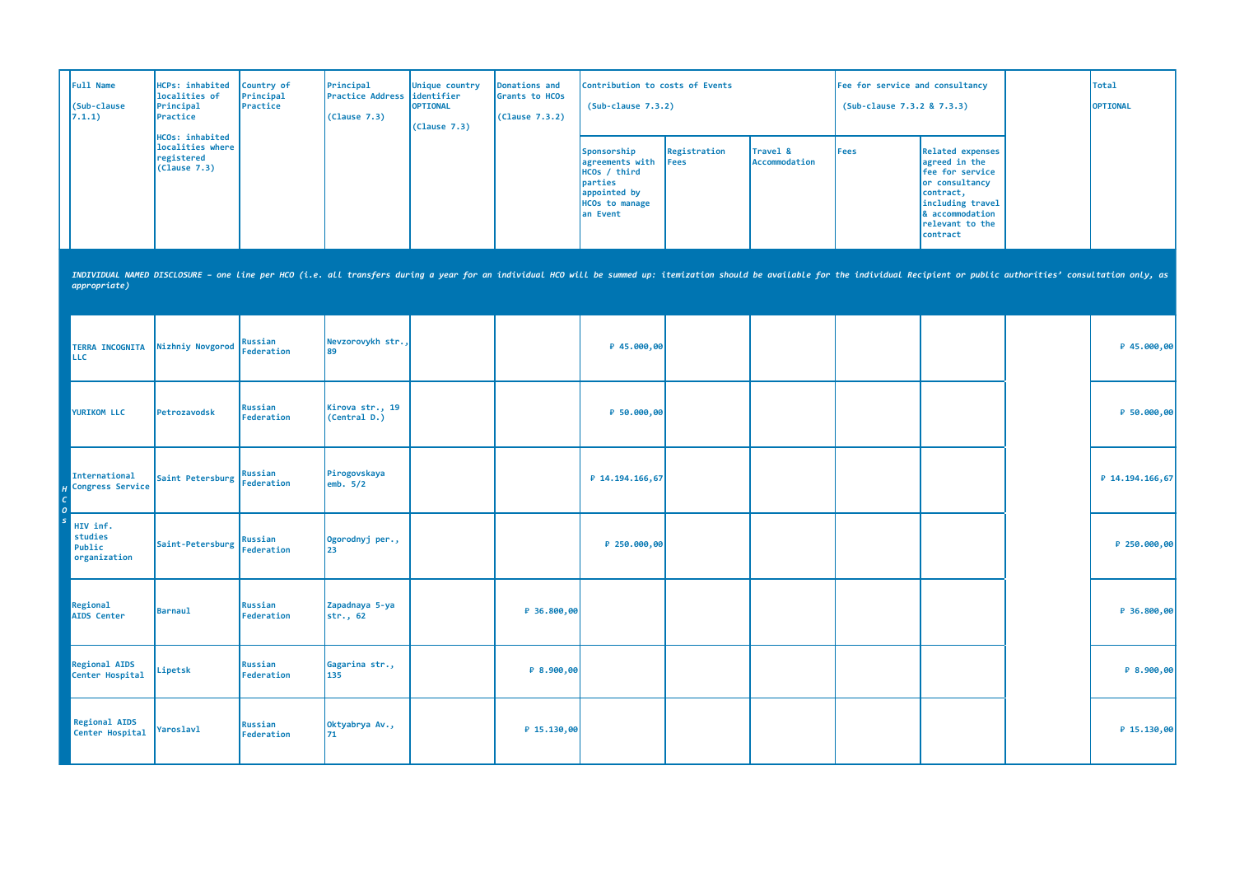| <b>Full Name</b><br>(Sub-clause<br>7.1.1) | HCPs: inhabited<br>localities of<br>Principal<br>Practice         | Country of<br>Principal<br>Practice | Principal<br>Practice Address lidentifier<br>(Clause 7.3) | Unique country<br><b>OPTIONAL</b><br>(Clause 7.3) | Donations and<br>Grants to HCOs<br>(Clause 7.3.2) | Contribution to costs of Events<br>$(Sub-clause 7.3.2)$                                                                                      |                              |                           | Fee for service and consultancy<br>(Sub-clause 7.3.2 & 7.3.3) |                                                                                                                                                                  | Total<br><b>OPTIONAL</b> |
|-------------------------------------------|-------------------------------------------------------------------|-------------------------------------|-----------------------------------------------------------|---------------------------------------------------|---------------------------------------------------|----------------------------------------------------------------------------------------------------------------------------------------------|------------------------------|---------------------------|---------------------------------------------------------------|------------------------------------------------------------------------------------------------------------------------------------------------------------------|--------------------------|
|                                           | HCOs: inhabited<br>localities where<br>registered<br>(Clause 7.3) |                                     |                                                           |                                                   |                                                   | Sponsorship<br>agreements with<br><b>HCOs</b> / third<br><i><u><b>Iparties</b></u></i><br>appointed by<br><b>HCOs to manage</b><br>lan Event | Registration<br><b>IFees</b> | Travel &<br>Accommodation | Fees                                                          | Related expenses<br>agreed in the<br><b>fee for service</b><br>or consultancy<br>contract,<br>including travel<br>& accommodation<br>relevant to the<br>contract |                          |

| <b>TERRA INCOGNITA</b><br><b>LLC</b>          | Nizhniy Novgorod | Russian<br>Federation | Nevzorovykh str.,<br>89         |             | ₽ 45.000,00     |  |  | ₽ 45.000,00       |
|-----------------------------------------------|------------------|-----------------------|---------------------------------|-------------|-----------------|--|--|-------------------|
| <b>YURIKOM LLC</b>                            | Petrozavodsk     | Russian<br>Federation | Kirova str., 19<br>(Central D.) |             | ₽ 50.000,00     |  |  | ₽ 50.000,00       |
| International<br>Congress Service             | Saint Petersburg | Russian<br>Federation | Pirogovskaya<br>emb. $5/2$      |             | ₽ 14.194.166,67 |  |  | $P$ 14.194.166,67 |
| HIV inf.<br>studies<br>Public<br>organization | Saint-Petersburg | Russian<br>Federation | Ogorodnyj per.,<br>23           |             | ₽ 250.000,00    |  |  | ₽ 250.000,00      |
| Regional<br><b>AIDS</b> Center                | <b>Barnaul</b>   | Russian<br>Federation | Zapadnaya 5-ya<br>str., 62      | ₽ 36.800,00 |                 |  |  | ₽ 36.800,00       |
| <b>Regional AIDS</b><br>Center Hospital       | Lipetsk          | Russian<br>Federation | Gagarina str.,<br>135           | P 8.900,00  |                 |  |  | ₽ 8.900,00        |
| <b>Regional AIDS</b><br>Center Hospital       | Yaroslavl        | Russian<br>Federation | Oktyabrya Av.,<br>71            | ₽ 15.130,00 |                 |  |  | ₽ 15.130,00       |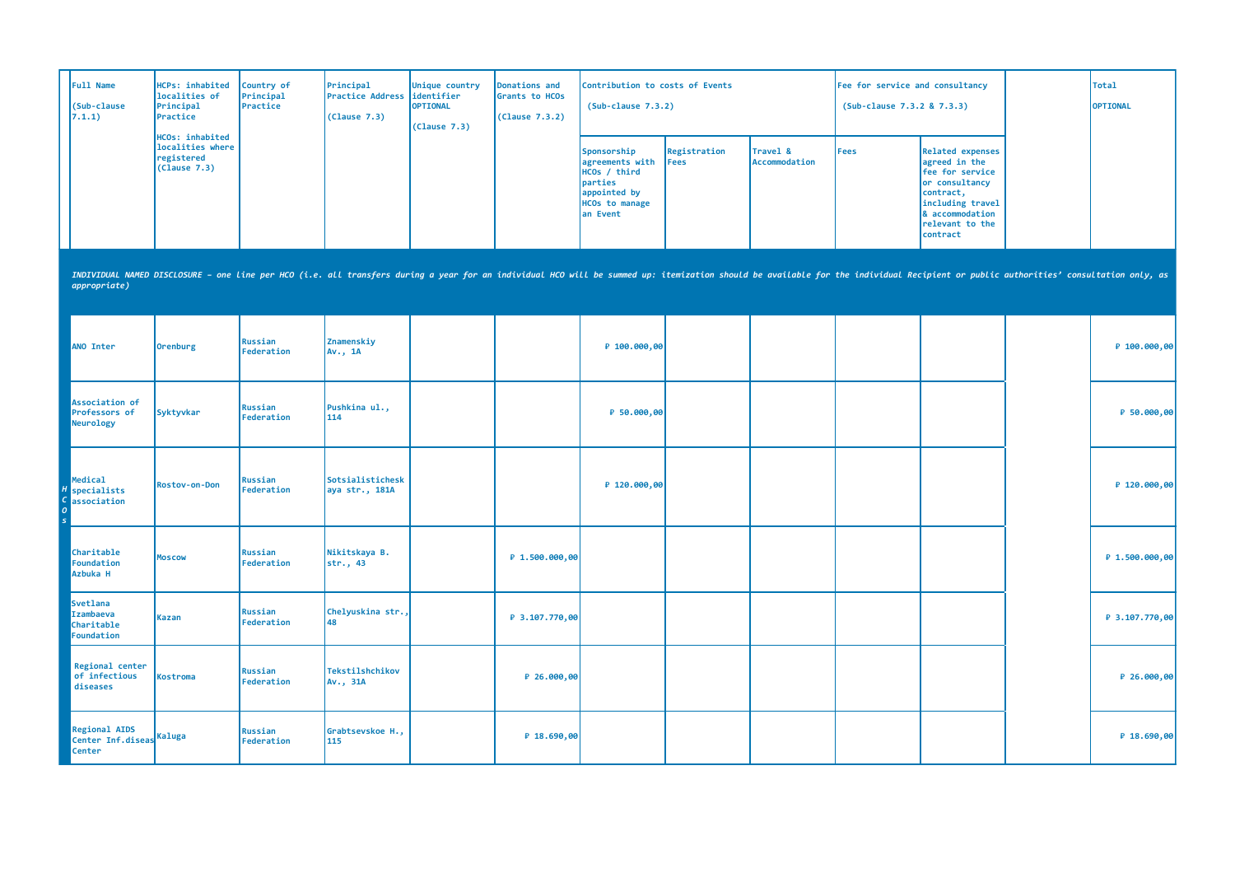| <b>Full Name</b><br>(Sub-clause<br>7.1.1) | HCPs: inhabited<br>localities of<br>Principal<br>Practice                | Country of<br>Principal<br>Practice | Principal<br>Practice Address lidentifier<br>(Clause 7.3) | Unique country<br><b>OPTIONAL</b><br>(Clause 7.3) | Donations and<br>Grants to HCOs<br>(Clause 7.3.2) | Contribution to costs of Events<br>$(Sub-clause 7.3.2)$                                                         |                              |                           | Fee for service and consultancy<br>(Sub-clause 7.3.2 & 7.3.3) |                                                                                                                                                                  | Total<br><b>OPTIONAL</b> |
|-------------------------------------------|--------------------------------------------------------------------------|-------------------------------------|-----------------------------------------------------------|---------------------------------------------------|---------------------------------------------------|-----------------------------------------------------------------------------------------------------------------|------------------------------|---------------------------|---------------------------------------------------------------|------------------------------------------------------------------------------------------------------------------------------------------------------------------|--------------------------|
|                                           | <b>HCOs: inhabited</b><br>localities where<br>registered<br>(Clause 7.3) |                                     |                                                           |                                                   |                                                   | Sponsorship<br>agreements with<br>HCOs / third<br>parties<br>appointed by<br><b>HCOs to manage</b><br>lan Event | Registration<br><b>IFees</b> | Travel &<br>Accommodation | Fees                                                          | Related expenses<br>agreed in the<br><b>fee for service</b><br>or consultancy<br>contract,<br>including travel<br>8 accommodation<br>relevant to the<br>contract |                          |

| <b>ANO Inter</b>                                                  | <b>Orenburg</b> | Russian<br>Federation | Znamenskiy<br>Av., 1A              |                  | ₽ 100.000,00 |  |  | P 100.000,00     |
|-------------------------------------------------------------------|-----------------|-----------------------|------------------------------------|------------------|--------------|--|--|------------------|
| Association of<br>Professors of<br>Neurology                      | Syktyvkar       | Russian<br>Federation | Pushkina ul.,<br>114               |                  | ₽ 50.000,00  |  |  | P 50.000,00      |
| Medical<br>specialists<br>association                             | Rostov-on-Don   | Russian<br>Federation | Sotsialistichesk<br>aya str., 181A |                  | ₽ 120.000,00 |  |  | $P$ 120.000,00   |
| Charitable<br>Foundation<br>Azbuka H                              | <b>Moscow</b>   | Russian<br>Federation | Nikitskaya B.<br>str., 43          | P 1.500.000,00   |              |  |  | P 1.500.000,00   |
| <b>Svetlana</b><br>Izambaeva<br>Charitable<br>Foundation          | Kazan           | Russian<br>Federation | Chelyuskina str.,<br>48            | $P$ 3.107.770,00 |              |  |  | $P$ 3.107.770,00 |
| Regional center<br>of infectious<br>diseases                      | Kostroma        | Russian<br>Federation | Tekstilshchikov<br>Av., 31A        | ₽ 26.000,00      |              |  |  | P 26.000,00      |
| <b>Regional AIDS</b><br>Center Inf.diseas Kaluga<br><b>Center</b> |                 | Russian<br>Federation | Grabtsevskoe H.,<br>115            | P 18.690,00      |              |  |  | P 18.690,00      |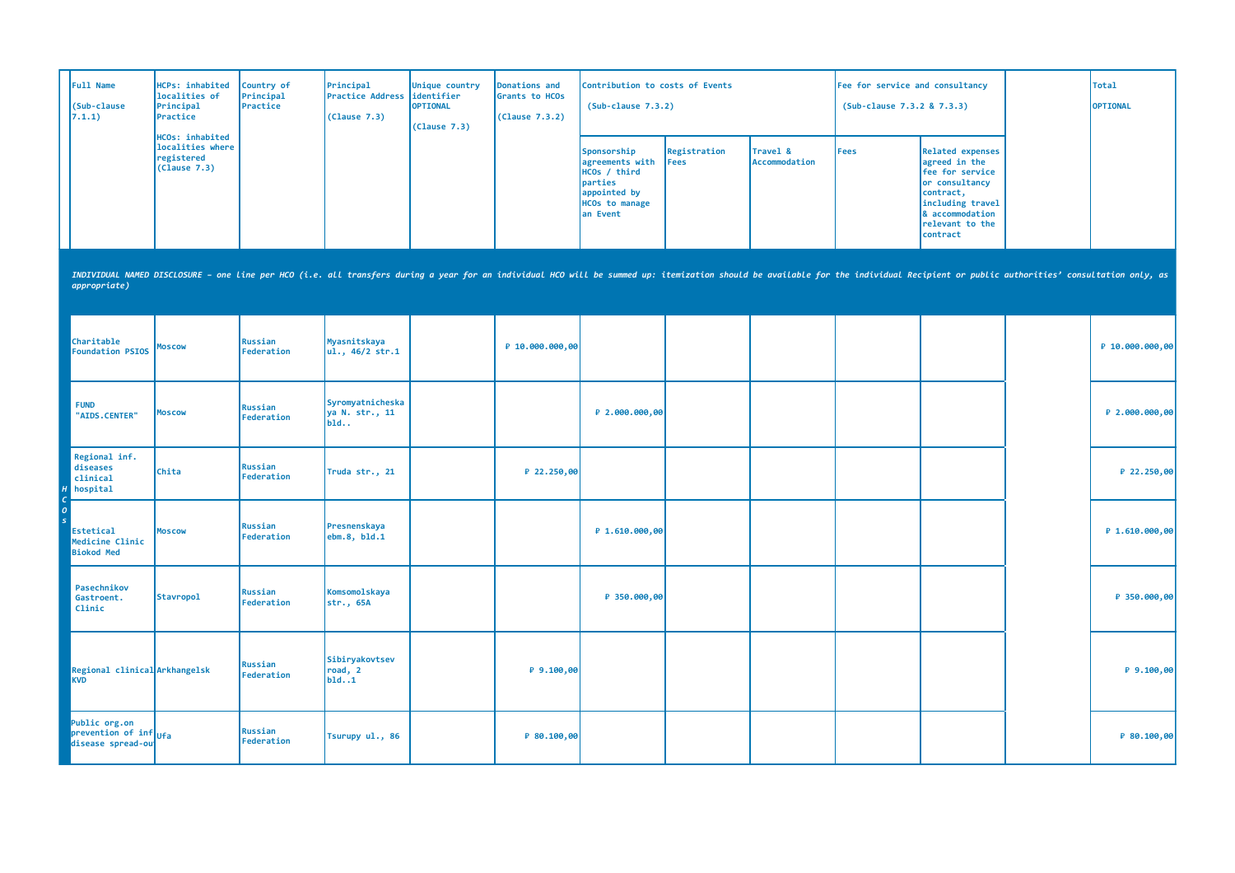| Full Name<br>(Sub-clause<br>7.1.1)                                     | HCPs: inhabited<br>localities of<br>Principal<br>Practice                                                                                                                                                                      | Country of<br>Principal<br>Practice | Principal<br><b>Practice Address</b><br>(Clause 7.3) | Unique country<br>identifier<br><b>OPTIONAL</b><br>(Clause 7.3) | Donations and<br>Grants to HCOs<br>(Clause 7.3.2) | Contribution to costs of Events<br>$(Sub-clause 7.3.2)$                                                        |                             |                           | Fee for service and consultancy<br>(Sub-clause 7.3.2 & 7.3.3) |                                                                                                                                                                  | <b>Total</b><br>OPTIONAL |
|------------------------------------------------------------------------|--------------------------------------------------------------------------------------------------------------------------------------------------------------------------------------------------------------------------------|-------------------------------------|------------------------------------------------------|-----------------------------------------------------------------|---------------------------------------------------|----------------------------------------------------------------------------------------------------------------|-----------------------------|---------------------------|---------------------------------------------------------------|------------------------------------------------------------------------------------------------------------------------------------------------------------------|--------------------------|
|                                                                        | HCOs: inhabited<br>localities where<br>registered<br>(Clause 7.3)                                                                                                                                                              |                                     |                                                      |                                                                 |                                                   | Sponsorship<br>agreements with<br>HCOs / third<br>parties<br>appointed by<br><b>HCOs to manage</b><br>an Event | Registration<br><b>Fees</b> | Travel &<br>Accommodation | Fees                                                          | <b>Related expenses</b><br>agreed in the<br>fee for service<br>or consultancy<br>contract,<br>including travel<br>& accommodation<br>relevant to the<br>contract |                          |
| appropriate)                                                           | INDIVIDUAL NAMED DISCLOSURE - one line per HCO (i.e. all transfers during a year for an individual HCO will be summed up: itemization should be available for the individual Recipient or public authorities' consultation onl |                                     |                                                      |                                                                 |                                                   |                                                                                                                |                             |                           |                                                               |                                                                                                                                                                  |                          |
| Charitable<br><b>Foundation PSIOS</b>                                  | Moscow                                                                                                                                                                                                                         | Russian<br>Federation               | Myasnitskaya<br>ul., 46/2 str.1                      |                                                                 | P 10.000.000,00                                   |                                                                                                                |                             |                           |                                                               |                                                                                                                                                                  | P 10.000.000,00          |
| <b>FUND</b><br>"AIDS.CENTER"                                           | <b>Moscow</b>                                                                                                                                                                                                                  | Russian<br>Federation               | Syromyatnicheska<br>ya N. str., 11<br>$b$ ld         |                                                                 |                                                   | ₽ 2.000.000,00                                                                                                 |                             |                           |                                                               |                                                                                                                                                                  | ₽ 2.000.000,00           |
| Regional inf.<br>diseases<br>clinical<br>hospital                      | Chita                                                                                                                                                                                                                          | Russian<br>Federation               | Truda str., 21                                       |                                                                 | ₽ 22.250,00                                       |                                                                                                                |                             |                           |                                                               |                                                                                                                                                                  | ₽ 22.250,00              |
| <b>Estetical</b><br>Medicine Clinic<br><b>Biokod Med</b>               | <b>Moscow</b>                                                                                                                                                                                                                  | Russian<br>Federation               | Presnenskaya<br>ebm.8, bld.1                         |                                                                 |                                                   | ₽ 1.610.000,00                                                                                                 |                             |                           |                                                               |                                                                                                                                                                  | ₽ 1.610.000,00           |
| Pasechnikov<br>Gastroent.<br>Clinic                                    | <b>Stavropol</b>                                                                                                                                                                                                               | <b>Russian</b><br>Federation        | Komsomolskaya<br>str., 65A                           |                                                                 |                                                   | P 350.000,00                                                                                                   |                             |                           |                                                               |                                                                                                                                                                  | ₽ 350.000,00             |
| Regional clinical Arkhangelsk<br><b>KVD</b>                            |                                                                                                                                                                                                                                | Russian<br>Federation               | Sibiryakovtsev<br>road, 2<br>b1d1                    |                                                                 | P9.100,00                                         |                                                                                                                |                             |                           |                                                               |                                                                                                                                                                  | P 9.100,00               |
| Public org.on<br>prevention of inf <sub>Ufa</sub><br>disease spread-ou |                                                                                                                                                                                                                                | Russian<br>Federation               | Tsurupy ul., 86                                      |                                                                 | P 80.100,00                                       |                                                                                                                |                             |                           |                                                               |                                                                                                                                                                  | ₽ 80.100,00              |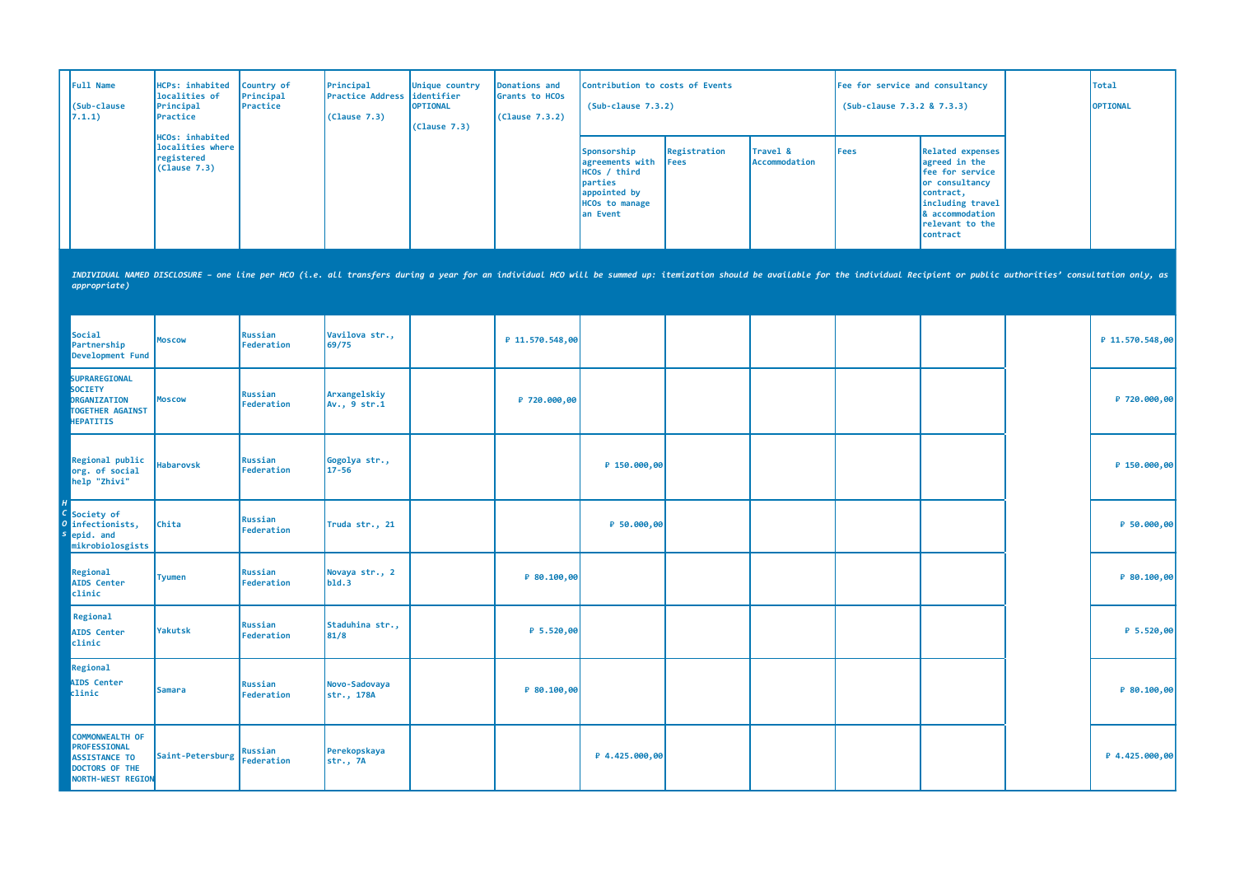| Full Name<br>(Sub-clause<br>7.1.1) | HCPs: inhabited<br>localities of<br>Principal<br><b>IPractice</b>        | Country of<br>Principal<br>Practice | Principal<br><b>Practice Address didentifier</b><br>(Clause 7.3) | Unique country<br><b>OPTIONAL</b><br>(Clause 7.3) | Donations and<br>Grants to HCOs<br>(Clause 7.3.2) | Contribution to costs of Events<br>$(Sub-clause 7.3.2)$                                                         |                      |                                  | Fee for service and consultancy<br>(Sub-clause 7.3.2 & 7.3.3) |                                                                                                                                                                   | Total<br><b>OPTIONAL</b> |
|------------------------------------|--------------------------------------------------------------------------|-------------------------------------|------------------------------------------------------------------|---------------------------------------------------|---------------------------------------------------|-----------------------------------------------------------------------------------------------------------------|----------------------|----------------------------------|---------------------------------------------------------------|-------------------------------------------------------------------------------------------------------------------------------------------------------------------|--------------------------|
|                                    | <b>HCOs: inhabited</b><br>localities where<br>registered<br>(Clause 7.3) |                                     |                                                                  |                                                   |                                                   | Sponsorship<br>agreements with<br>HCOs / third<br>parties<br>appointed by<br><b>HCOs to manage</b><br>lan Event | Registration<br>Fees | Travel &<br><b>Accommodation</b> | Fees                                                          | Related expenses<br>agreed in the<br><b>Ifee for service</b><br>or consultancy<br>contract,<br>including travel<br>8 accommodation<br>relevant to the<br>contract |                          |

| Social<br>Partnership<br>Development Fund                                                             | <b>Moscow</b>    | Russian<br>Federation | Vavilova str.,<br>69/75      | ₽ 11.570.548,00 |                |  |  | P 11.570.548,00 |
|-------------------------------------------------------------------------------------------------------|------------------|-----------------------|------------------------------|-----------------|----------------|--|--|-----------------|
| SUPRAREGIONAL<br>SOCIETY<br>ORGANIZATION<br><b>TOGETHER AGAINST</b><br><b>HEPATITIS</b>               | <b>Moscow</b>    | Russian<br>Federation | Arxangelskiy<br>Av., 9 str.1 | ₽ 720.000,00    |                |  |  | P 720.000,00    |
| Regional public<br>org. of social<br>help "Zhivi"                                                     | <b>Habarovsk</b> | Russian<br>Federation | Gogolya str.,<br>17-56       |                 | ₽ 150.000,00   |  |  | P 150.000,00    |
| Society of<br>infectionists,<br>epid. and<br>mikrobiolosgists                                         | <b>Chita</b>     | Russian<br>Federation | Truda str., 21               |                 | ₽ 50.000,00    |  |  | ₽ 50.000,00     |
| Regional<br><b>AIDS</b> Center<br>clinic                                                              | <b>Tyumen</b>    | Russian<br>Federation | Novaya str., 2<br>b1d.3      | P 80.100,00     |                |  |  | P 80.100,00     |
| Regional<br><b>AIDS</b> Center<br>clinic                                                              | Yakutsk          | Russian<br>Federation | Staduhina str.,<br>81/8      | ₽ 5.520,00      |                |  |  | $P$ 5.520,00    |
| Regional<br><b>AIDS Center</b><br>clinic                                                              | Samara           | Russian<br>Federation | Novo-Sadovaya<br>str., 178A  | P 80.100,00     |                |  |  | P 80.100,00     |
| <b>COMMONWEALTH OF</b><br>PROFESSIONAL<br><b>ASSISTANCE TO</b><br>DOCTORS OF THE<br>NORTH-WEST REGION | Saint-Petersburg | Russian<br>Federation | Perekopskaya<br>str., 7A     |                 | P 4.425.000,00 |  |  | P 4.425.000,00  |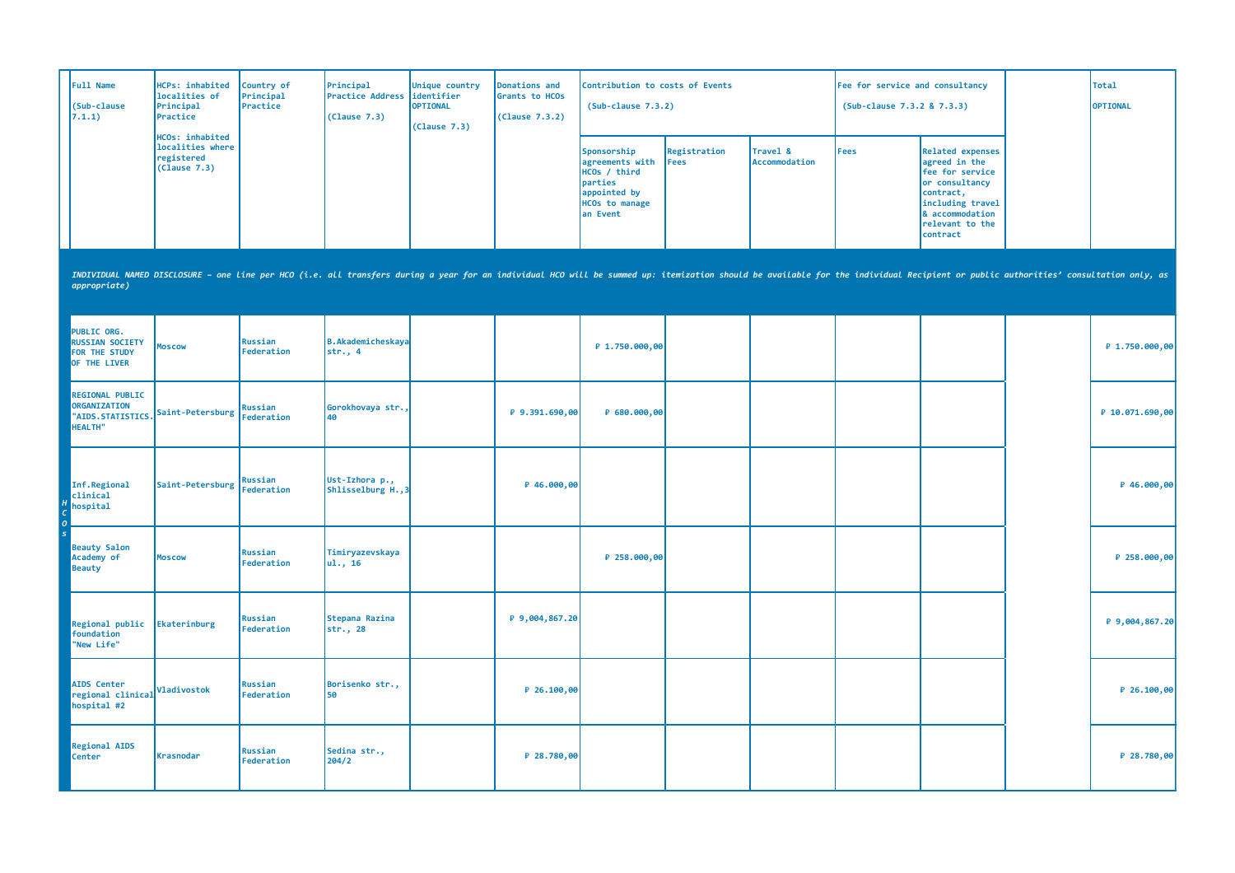| Full Name<br>(Sub-clause<br>7.1.1) | HCPs: inhabited<br>localities of<br>Principal<br><b>IPractice</b>        | Country of<br>Principal<br>Practice | Principal<br><b>Practice Address didentifier</b><br>(Clause 7.3) | Unique country<br><b>OPTIONAL</b><br>(Clause 7.3) | Donations and<br>Grants to HCOs<br>(Clause 7.3.2) | Contribution to costs of Events<br>$(Sub-clause 7.3.2)$                                                         |                      |                                  | Fee for service and consultancy<br>(Sub-clause 7.3.2 & 7.3.3) |                                                                                                                                                                   | Total<br><b>OPTIONAL</b> |
|------------------------------------|--------------------------------------------------------------------------|-------------------------------------|------------------------------------------------------------------|---------------------------------------------------|---------------------------------------------------|-----------------------------------------------------------------------------------------------------------------|----------------------|----------------------------------|---------------------------------------------------------------|-------------------------------------------------------------------------------------------------------------------------------------------------------------------|--------------------------|
|                                    | <b>HCOs: inhabited</b><br>localities where<br>registered<br>(Clause 7.3) |                                     |                                                                  |                                                   |                                                   | Sponsorship<br>agreements with<br>HCOs / third<br>parties<br>appointed by<br><b>HCOs to manage</b><br>lan Event | Registration<br>Fees | Travel &<br><b>Accommodation</b> | Fees                                                          | Related expenses<br>agreed in the<br><b>Ifee for service</b><br>or consultancy<br>contract,<br>including travel<br>8 accommodation<br>relevant to the<br>contract |                          |

| <b>PUBLIC ORG.</b><br><b>RUSSIAN SOCIETY</b><br>FOR THE STUDY<br>OF THE LIVER | <b>Moscow</b>                          | Russian<br>Federation | B.Akademicheskaya<br>str., 4         |                | ₽ 1.750.000,00 |  |  | ₽ 1.750.000,00  |
|-------------------------------------------------------------------------------|----------------------------------------|-----------------------|--------------------------------------|----------------|----------------|--|--|-----------------|
| <b>REGIONAL PUBLIC</b><br>ORGANIZATION<br>"AIDS.STATISTICS.<br>HEALTH"        | Saint-Petersburg Russian<br>Federation |                       | Gorokhovaya str.,<br>40              | P 9.391.690,00 | ₽ 680.000,00   |  |  | ₽ 10.071.690,00 |
| Inf.Regional<br>clinical<br>hospital                                          | Saint-Petersburg   Musson: 00          | Russian               | Ust-Izhora p.,<br>Shlisselburg H., 3 | P 46.000,00    |                |  |  | ₽ 46.000,00     |
| <b>Beauty Salon</b><br>Academy of<br>Beauty                                   | <b>MOSCOW</b>                          | Russian<br>Federation | Timiryazevskaya<br>ul., 16           |                | ₽ 258.000,00   |  |  | ₽ 258.000,00    |
| Regional public<br>foundation<br>"New Life"                                   | Ekaterinburg                           | Russian<br>Federation | Stepana Razina<br>str., 28           | ₽ 9,004,867.20 |                |  |  | ₽ 9,004,867.20  |
| <b>AIDS Center</b><br>regional clinical<br>hospital #2                        | Vladivostok                            | Russian<br>Federation | Borisenko str.,<br>50                | $P$ 26.100,00  |                |  |  | ₽ 26.100,00     |
| <b>Regional AIDS</b><br><b>Center</b>                                         | <b>Krasnodar</b>                       | Russian<br>Federation | Sedina str.,<br>204/2                | $P$ 28.780,00  |                |  |  | ₽ 28.780,00     |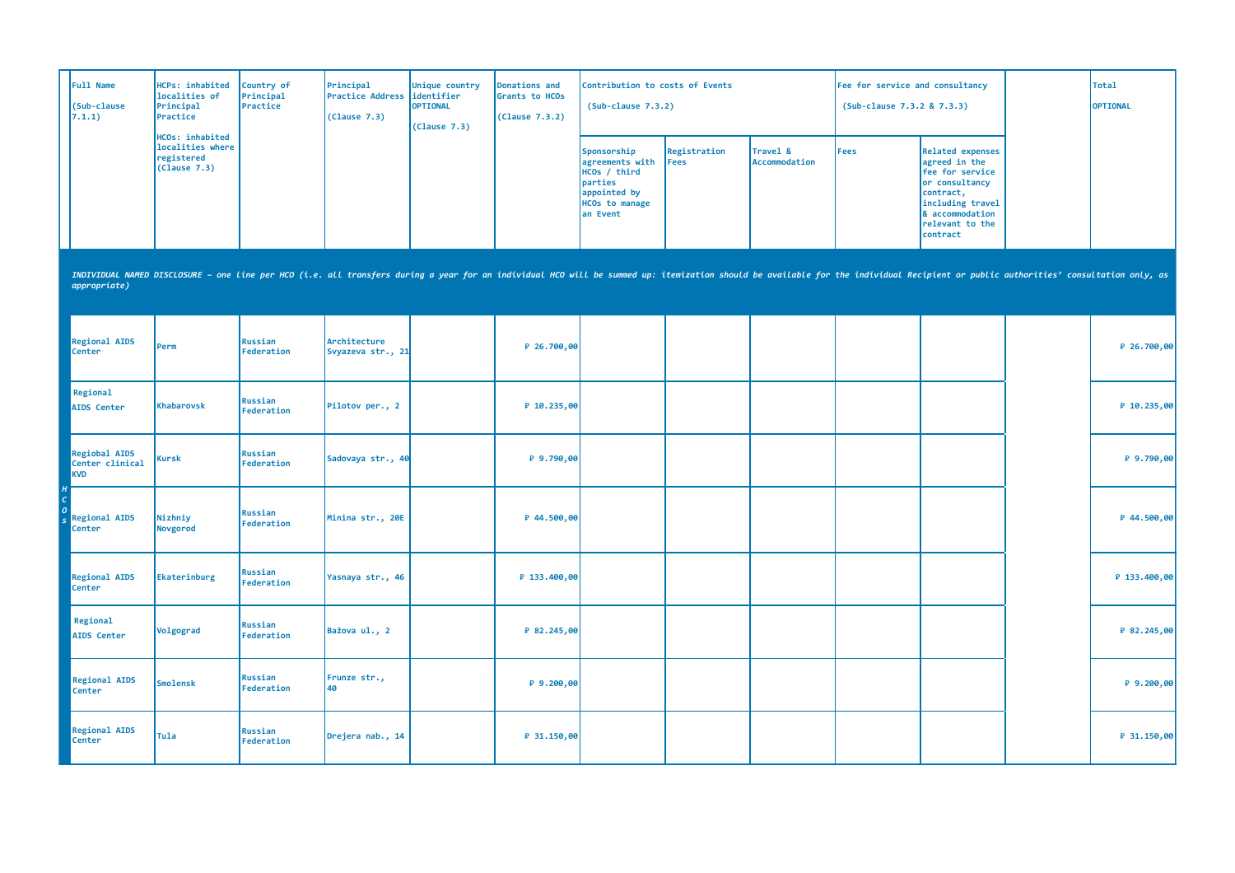| Full Name<br>(Sub-clause<br>(7.1.1) | <b>HCPs: inhabited</b><br>localities of<br>Principal<br>Practice         | Country of<br>Principal<br>Practice | Principal<br><b>Practice Address didentifier</b><br>(Clause 7.3) | Unique country<br><b>OPTIONAL</b><br>(Clause 7.3) | Donations and<br>Grants to HCOs<br>(Clause 7.3.2) | Contribution to costs of Events<br>$(Sub-clause 7.3.2)$                                                        |                              |                                             | Fee for service and consultancy<br>(Sub-clause 7.3.2 & 7.3.3) |                                                                                                                                                                                                                                | Total<br><b>OPTIONAL</b> |
|-------------------------------------|--------------------------------------------------------------------------|-------------------------------------|------------------------------------------------------------------|---------------------------------------------------|---------------------------------------------------|----------------------------------------------------------------------------------------------------------------|------------------------------|---------------------------------------------|---------------------------------------------------------------|--------------------------------------------------------------------------------------------------------------------------------------------------------------------------------------------------------------------------------|--------------------------|
|                                     | <b>HCOs: inhabited</b><br>localities where<br>registered<br>(Clause 7.3) |                                     |                                                                  |                                                   |                                                   | Sponsorship<br>agreements with<br>HCOs / third<br>parties<br>appointed by<br><b>HCOs to manage</b><br>an Event | Registration<br><b>IFees</b> | <b>Travel &amp;</b><br><b>Accommodation</b> | <b>IFees</b>                                                  | Related expenses<br>agreed in the<br>fee for service<br>or consultancy<br>contract,<br>including travel<br>& accommodation<br>relevant to the<br>contract                                                                      |                          |
| appropriate)                        |                                                                          |                                     |                                                                  |                                                   |                                                   |                                                                                                                |                              |                                             |                                                               | INDIVIDUAL NAMED DISCLOSURE - one line per HCO (i.e. all transfers during a year for an individual HCO will be summed up: itemization should be available for the individual Recipient or public authorities' consultation onl |                          |

| <b>Regional AIDS</b><br><b>Center</b>          | Perm                | Russian<br>Federation | Architecture<br>Svyazeva str., 21 | ₽ 26.700,00  |  |  |  | $P$ 26.700,00 |
|------------------------------------------------|---------------------|-----------------------|-----------------------------------|--------------|--|--|--|---------------|
| Regional<br>AIDS Center                        | Khabarovsk          | Russian<br>Federation | Pilotov per., 2                   | P 10.235,00  |  |  |  | P 10.235,00   |
| Regiobal AIDS<br>Center clinical<br><b>KVD</b> | Kursk               | Russian<br>Federation | Sadovaya str., 40                 | $P$ 9.790,00 |  |  |  | $P$ 9.790,00  |
| <b>Regional AIDS</b><br><b>Center</b>          | Nizhniy<br>Novgorod | Russian<br>Federation | Minina str., 20E                  | ₽ 44.500,00  |  |  |  | ₽ 44.500,00   |
| <b>Regional AIDS</b><br><b>Center</b>          | Ekaterinburg        | Russian<br>Federation | Yasnaya str., 46                  | ₽ 133.400,00 |  |  |  | P 133.400,00  |
| Regional<br><b>AIDS Center</b>                 | Volgograd           | Russian<br>Federation | Bažova ul., 2                     | ₽ 82.245,00  |  |  |  | ₽ 82.245,00   |
| <b>Regional AIDS</b><br><b>Center</b>          | Smolensk            | Russian<br>Federation | Frunze str.,<br>40                | $P$ 9.200,00 |  |  |  | $P$ 9.200,00  |
| <b>Regional AIDS</b><br><b>Center</b>          | <b>Tula</b>         | Russian<br>Federation | Drejera nab., 14                  | ₽ 31.150,00  |  |  |  | $P$ 31.150,00 |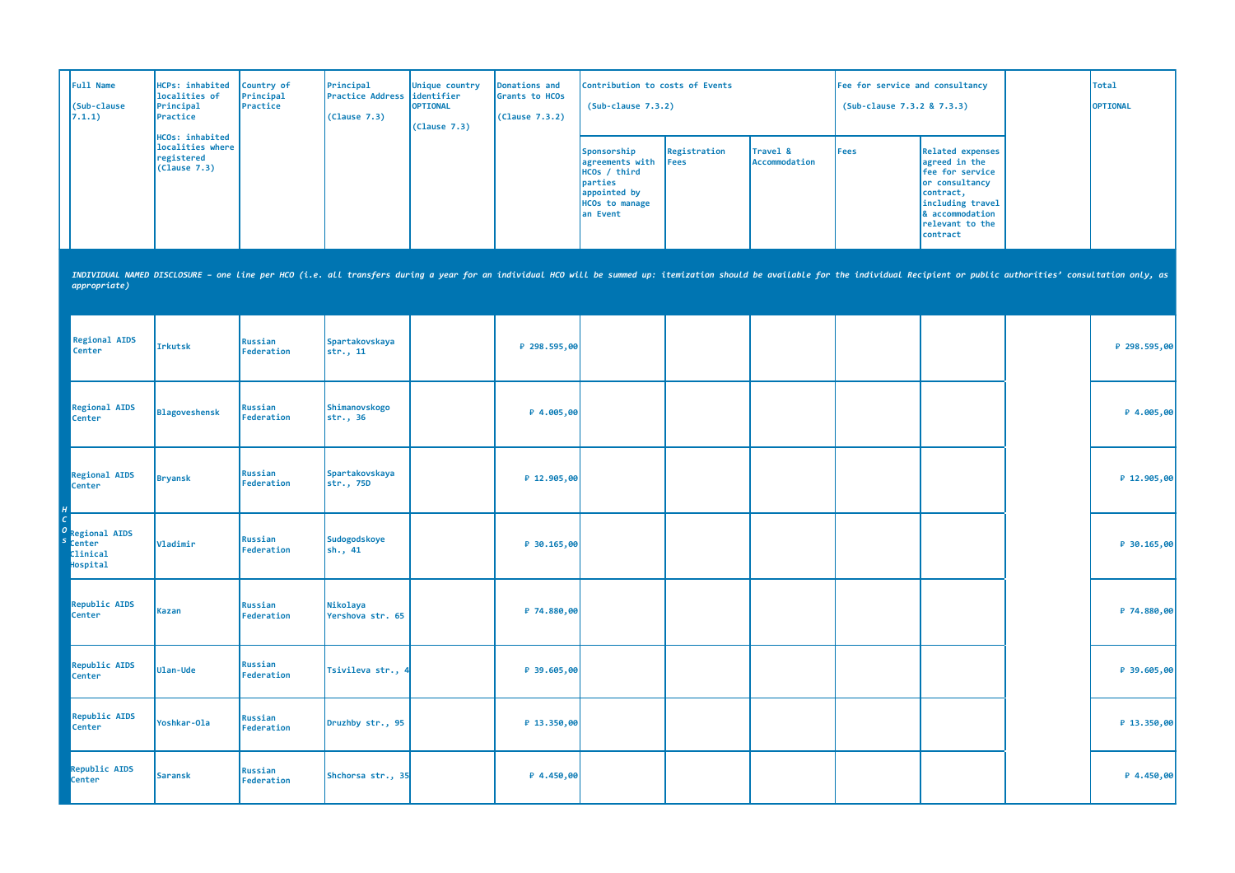| <b>Full Name</b><br>(Sub-clause)<br>7.1.1) | HCPs: inhabited<br>localities of<br>Principal<br>Practice         | Country of<br>Principal<br>Practice | Principal<br><b>IPractice Address lidentifier</b><br>(Clause 7.3) | Unique country<br><b>OPTIONAL</b><br>(Clause 7.3) | Donations and<br>Grants to HCOs<br>(Clause 7.3.2) | Contribution to costs of Events<br>$(Sub-clause 7.3.2)$                                                                             |                              |                                  | Fee for service and consultancy<br>(Sub-clause 7.3.2 & 7.3.3) |                                                                                                                                                                   | Total<br><b>OPTIONAL</b> |
|--------------------------------------------|-------------------------------------------------------------------|-------------------------------------|-------------------------------------------------------------------|---------------------------------------------------|---------------------------------------------------|-------------------------------------------------------------------------------------------------------------------------------------|------------------------------|----------------------------------|---------------------------------------------------------------|-------------------------------------------------------------------------------------------------------------------------------------------------------------------|--------------------------|
|                                            | HCOs: inhabited<br>localities where<br>registered<br>(Clause 7.3) |                                     |                                                                   |                                                   |                                                   | Sponsorship<br>agreements with<br>HCOs / third<br><i><u><b>Darties</b></u></i><br>appointed by<br><b>HCOs to manage</b><br>an Event | Registration<br><b>IFees</b> | Travel &<br><b>Accommodation</b> | l Fees                                                        | Related expenses<br>agreed in the<br>Fee for service<br>or consultancy<br>contract,<br>including travel<br>& accommodation<br><b>Irelevant to the</b><br>contract |                          |

| <b>Regional AIDS</b><br>Center                                       | Irkutsk        | Russian<br>Federation | Spartakovskaya<br>str., 11   | ₽ 298.595,00  |  |  |  | ₽ 298.595,00 |
|----------------------------------------------------------------------|----------------|-----------------------|------------------------------|---------------|--|--|--|--------------|
| <b>Regional AIDS</b><br>Center                                       | Blagoveshensk  | Russian<br>Federation | Shimanovskogo<br>str., 36    | ₽ 4.005,00    |  |  |  | ₽ 4.005,00   |
| <b>Regional AIDS</b><br><b>Center</b>                                | <b>Bryansk</b> | Russian<br>Federation | Spartakovskaya<br>str., 75D  | ₽ 12.905,00   |  |  |  | ₽ 12.905,00  |
| <b>Regional AIDS</b><br><b>Center</b><br><b>Clinical</b><br>Hospital | Vladimir       | Russian<br>Federation | Sudogodskoye<br>$\sin 41$    | $P$ 30.165,00 |  |  |  | ₽ 30.165,00  |
| <b>Republic AIDS</b><br><b>Center</b>                                | <b>Kazan</b>   | Russian<br>Federation | Nikolaya<br>Yershova str. 65 | ₽ 74.880,00   |  |  |  | ₽ 74.880,00  |
| <b>Republic AIDS</b><br>Center                                       | Ulan-Ude       | Russian<br>Federation | Tsivileva str.,              | ₽ 39.605,00   |  |  |  | ₽ 39.605,00  |
| Republic AIDS<br>Center                                              | Yoshkar-Ola    | Russian<br>Federation | Druzhby str., 95             | ₽ 13.350,00   |  |  |  | ₽ 13.350,00  |
| Republic AIDS<br><b>Center</b>                                       | Saransk        | Russian<br>Federation | Shchorsa str., 35            | $P$ 4.450,00  |  |  |  | ₽ 4.450,00   |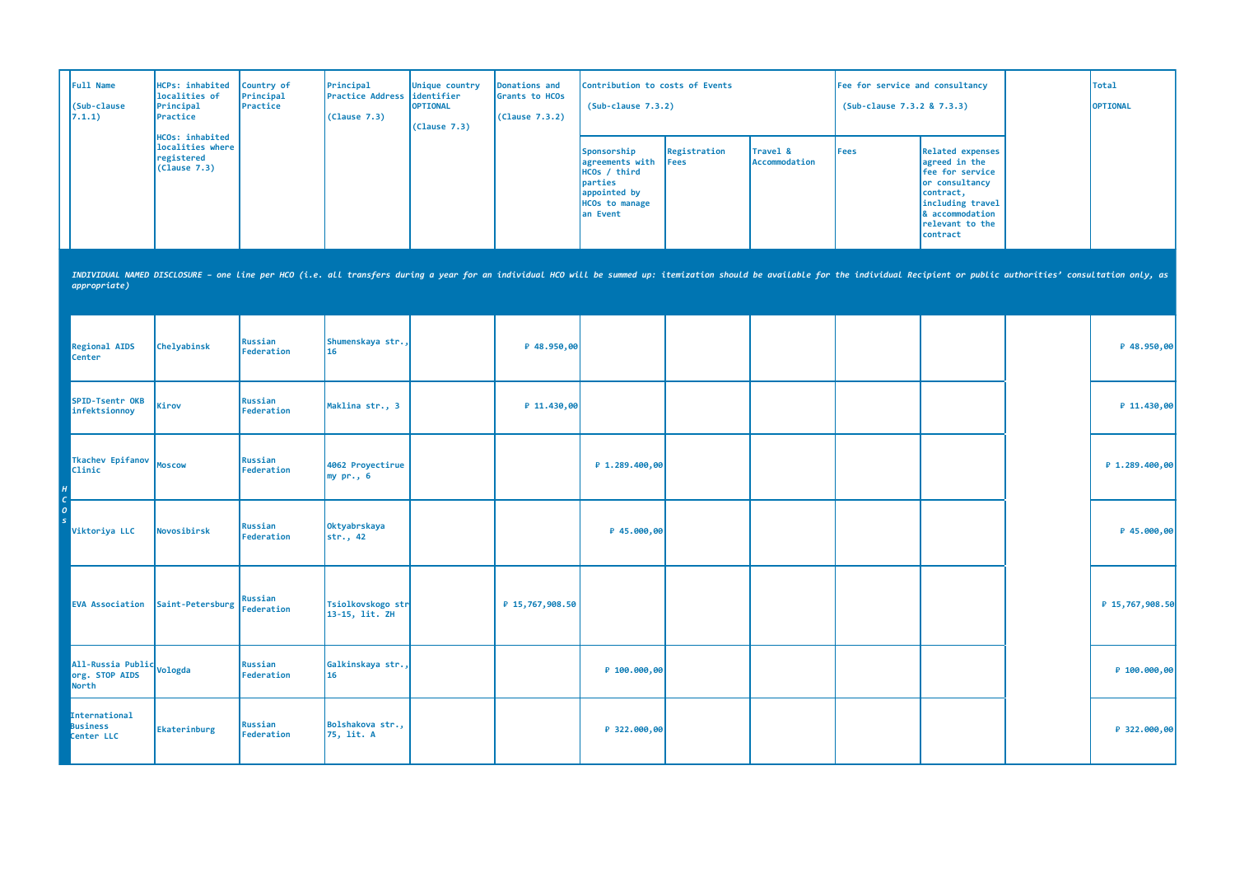| <b>Full Name</b><br>(Sub-clause<br>7.1.1) | HCPs: inhabited<br>localities of<br>Principal<br>Practice                | Country of<br>Principal<br>Practice | Principal<br>Practice Address lidentifier<br>(Clause 7.3) | Unique country<br><b>OPTIONAL</b><br>(Clause 7.3) | Donations and<br>Grants to HCOs<br>(Clause 7.3.2) | Contribution to costs of Events<br>$(Sub-clause 7.3.2)$                                                                               |                              |                           | Fee for service and consultancy<br>(Sub-clause 7.3.2 & 7.3.3) |                                                                                                                                                           | Total<br><b>OPTIONAL</b> |
|-------------------------------------------|--------------------------------------------------------------------------|-------------------------------------|-----------------------------------------------------------|---------------------------------------------------|---------------------------------------------------|---------------------------------------------------------------------------------------------------------------------------------------|------------------------------|---------------------------|---------------------------------------------------------------|-----------------------------------------------------------------------------------------------------------------------------------------------------------|--------------------------|
|                                           | <b>HCOs: inhabited</b><br>localities where<br>registered<br>(Clause 7.3) |                                     |                                                           |                                                   |                                                   | Sponsorship<br>agreements with<br>HCOs / third<br><i><u><b>I</b>parties</u></i><br>appointed by<br><b>HCOs to manage</b><br>lan Event | Registration<br><b>IFees</b> | Travel &<br>Accommodation | Fees                                                          | Related expenses<br>agreed in the<br>Fee for service<br>or consultancy<br>contract,<br>including travel<br>8 accommodation<br>relevant to the<br>contract |                          |

| <b>Regional AIDS</b><br>Center                                  | Chelyabinsk      | Russian<br>Federation | Shumenskaya str.,<br>16             | P 48.950,00     |                |  |  | $P$ 48.950,00   |
|-----------------------------------------------------------------|------------------|-----------------------|-------------------------------------|-----------------|----------------|--|--|-----------------|
| SPID-Tsentr OKB<br>infektsionnoy                                | Kirov            | Russian<br>Federation | Maklina str., 3                     | ₽ 11.430,00     |                |  |  | P 11.430,00     |
| Tkachev Epifanov<br>Clinic                                      | <b>Moscow</b>    | Russian<br>Federation | 4062 Proyectirue<br>$my pr.$ , 6    |                 | P 1.289.400,00 |  |  | P 1.289.400,00  |
| Viktoriya LLC                                                   | Novosibirsk      | Russian<br>Federation | Oktyabrskaya<br>str., 42            |                 | ₽ 45.000,00    |  |  | $P$ 45.000,00   |
| <b>EVA Association</b>                                          | Saint-Petersburg | Russian<br>Federation | Tsiolkovskogo str<br>13-15, lit. ZH | ₽ 15,767,908.50 |                |  |  | ₽ 15,767,908.50 |
| All-Russia Public <sub>Vologda</sub><br>org. STOP AIDS<br>North |                  | Russian<br>Federation | Galkinskaya str.,<br>16             |                 | ₽ 100.000,00   |  |  | P 100.000,00    |
| International<br><b>Business</b><br>Center LLC                  | Ekaterinburg     | Russian<br>Federation | Bolshakova str.,<br>75, lit. A      |                 | ₽ 322.000,00   |  |  | ₽ 322.000,00    |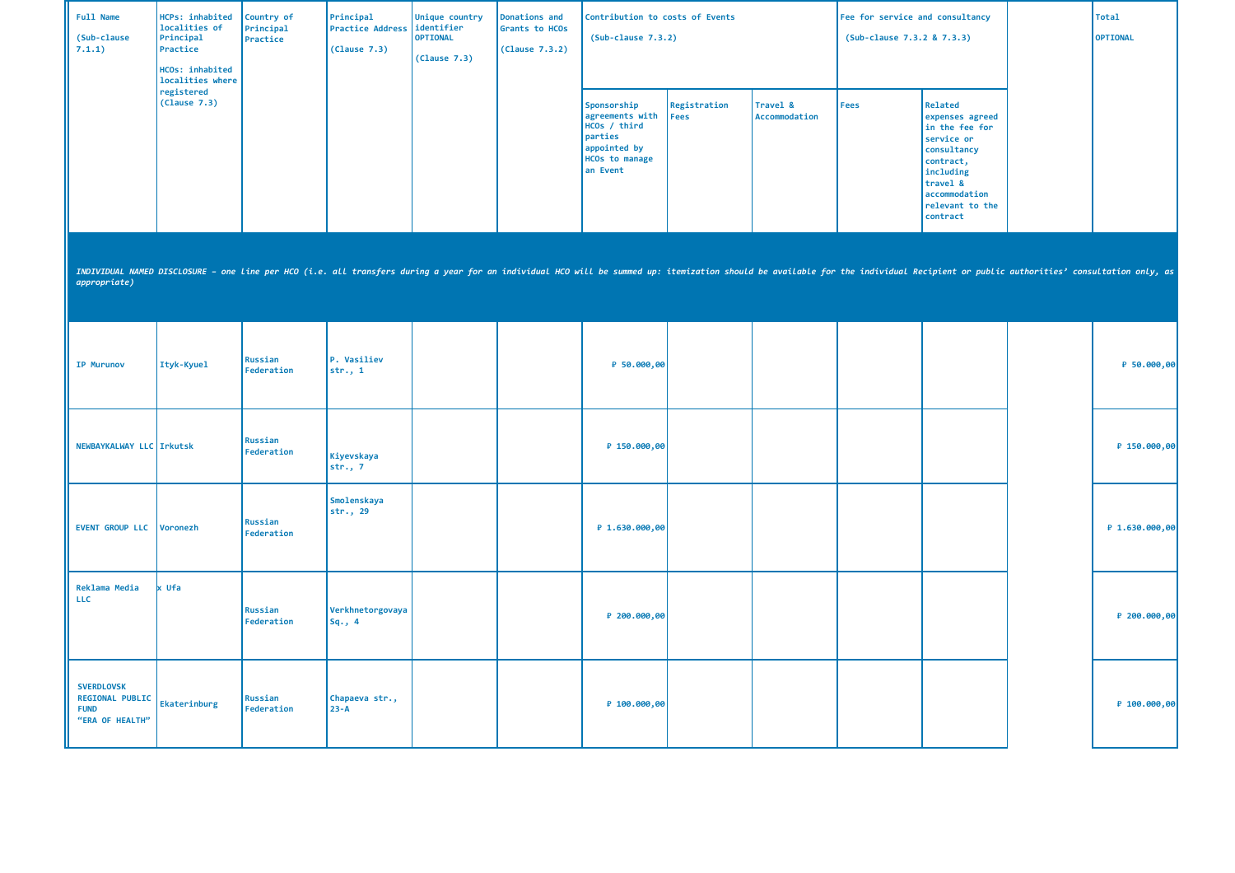| Full Name<br>(Sub-clause<br>7.1.1)                                            | HCPs: inhabited<br>localities of<br>Principal<br>Practice<br>HCOs: inhabited<br>localities where | Country of<br>Principal<br>Practice | Principal<br><b>Practice Address</b><br>(Clause 7.3) | Unique country<br>identifier<br><b>OPTIONAL</b><br>(Clause 7.3) | Donations and<br>Grants to HCOs<br>(Lause 7.3.2) | Contribution to costs of Events<br>$(Sub-clause 7.3.2)$                                                        |                      |                           | Fee for service and consultancy<br>(Sub-clause 7.3.2 & 7.3.3) |                                                                                                                                                                                                                                | <b>Total</b><br><b>OPTIONAL</b> |
|-------------------------------------------------------------------------------|--------------------------------------------------------------------------------------------------|-------------------------------------|------------------------------------------------------|-----------------------------------------------------------------|--------------------------------------------------|----------------------------------------------------------------------------------------------------------------|----------------------|---------------------------|---------------------------------------------------------------|--------------------------------------------------------------------------------------------------------------------------------------------------------------------------------------------------------------------------------|---------------------------------|
|                                                                               | registered<br>(Clause 7.3)                                                                       |                                     |                                                      |                                                                 |                                                  | Sponsorship<br>agreements with<br>HCOs / third<br>parties<br>appointed by<br><b>HCOs to manage</b><br>an Event | Registration<br>Fees | Travel &<br>Accommodation | Fees                                                          | Related<br>expenses agreed<br>in the fee for<br>service or<br>consultancy<br>contract,<br>including<br>travel &<br>accommodation<br>relevant to the<br>contract                                                                |                                 |
| appropriate)                                                                  |                                                                                                  |                                     |                                                      |                                                                 |                                                  |                                                                                                                |                      |                           |                                                               | INDIVIDUAL NAMED DISCLOSURE - one Line per HCO (i.e. all transfers during a year for an individual HCO will be summed up: itemization should be available for the individual Recipient or public authorities' consultation onl |                                 |
| <b>IP Murunov</b>                                                             | Ityk-Kyuel                                                                                       | Russian<br>Federation               | P. Vasiliev<br>str., 1                               |                                                                 |                                                  | ₽ 50.000,00                                                                                                    |                      |                           |                                                               |                                                                                                                                                                                                                                | ₽ 50.000,00                     |
| NEWBAYKALWAY LLC Irkutsk                                                      |                                                                                                  | Russian<br>Federation               | Kiyevskaya<br>str., 7                                |                                                                 |                                                  | ₽ 150.000,00                                                                                                   |                      |                           |                                                               |                                                                                                                                                                                                                                | ₽ 150.000,00                    |
| EVENT GROUP LLC Voronezh                                                      |                                                                                                  | Russian<br>Federation               | Smolenskaya<br>str., 29                              |                                                                 |                                                  | ₽ 1.630.000,00                                                                                                 |                      |                           |                                                               |                                                                                                                                                                                                                                | ₽ 1.630.000,00                  |
| Reklama Media<br><b>LLC</b>                                                   | Ufa                                                                                              | Russian<br>Federation               | Verkhnetorgovaya<br>$Sq.$ , 4                        |                                                                 |                                                  | ₽ 200.000,00                                                                                                   |                      |                           |                                                               |                                                                                                                                                                                                                                | ₽ 200.000,00                    |
| <b>SVERDLOVSK</b><br><b>REGIONAL PUBLIC</b><br><b>FUND</b><br>"ERA OF HEALTH" | Ekaterinburg                                                                                     | Russian<br>Federation               | Chapaeva str.,<br>$23 - A$                           |                                                                 |                                                  | ₽ 100.000,00                                                                                                   |                      |                           |                                                               |                                                                                                                                                                                                                                | ₽ 100.000,00                    |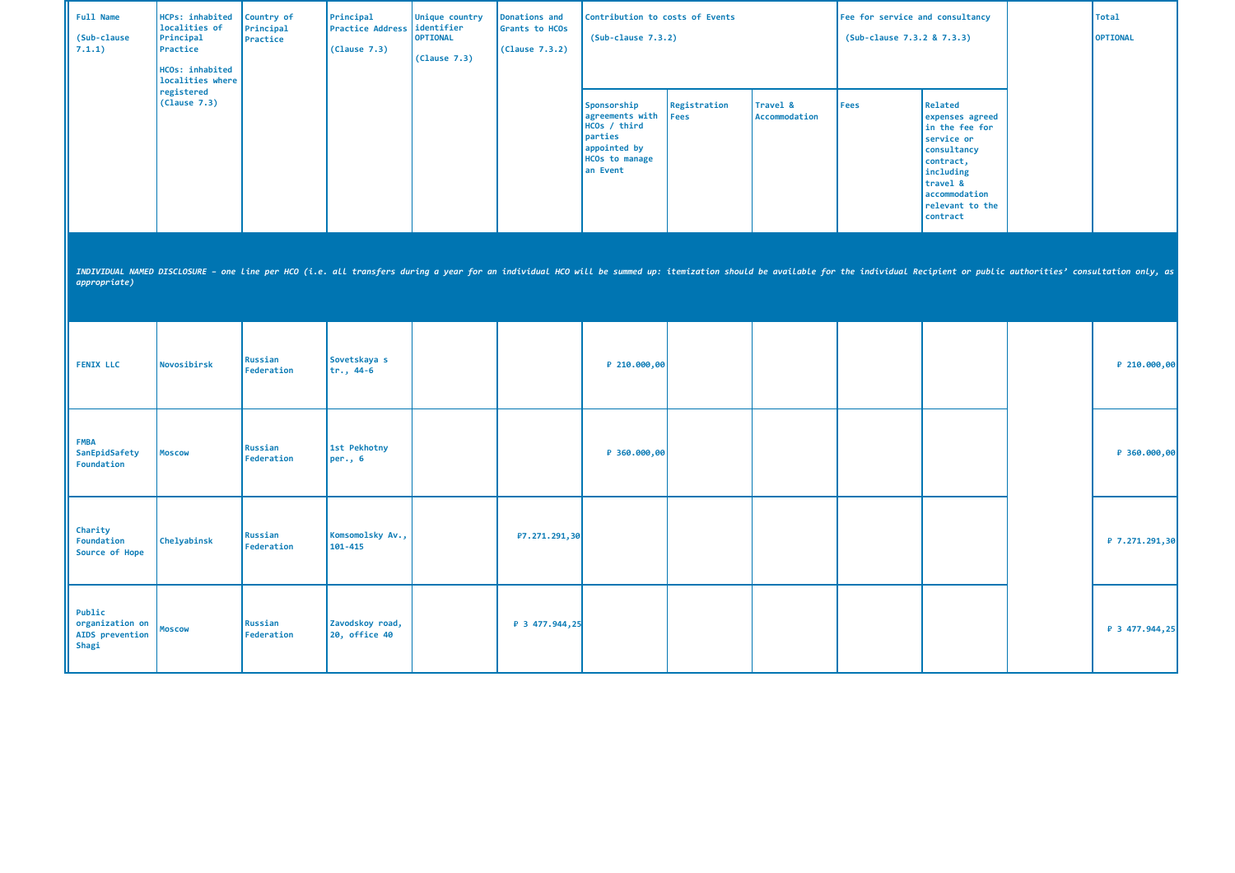| Full Name<br>(Sub-clause<br>7.1.1)                    | HCPs: inhabited<br>localities of<br>Principal<br>Practice<br>HCOs: inhabited<br>localities where | Country of<br>Principal<br>Practice | Principal<br><b>Practice Address</b><br>(Clause 7.3) | Unique country<br>identifier<br><b>OPTIONAL</b><br>(Clause 7.3) | Donations and<br>Grants to HCOs<br>(Lause 7.3.2) | Contribution to costs of Events<br>$(Sub-clause 7.3.2)$                                                          |                      |                           | Fee for service and consultancy<br>(Sub-clause 7.3.2 & 7.3.3) |                                                                                                                                                                                                                                | <b>Total</b><br>OPTIONAL |
|-------------------------------------------------------|--------------------------------------------------------------------------------------------------|-------------------------------------|------------------------------------------------------|-----------------------------------------------------------------|--------------------------------------------------|------------------------------------------------------------------------------------------------------------------|----------------------|---------------------------|---------------------------------------------------------------|--------------------------------------------------------------------------------------------------------------------------------------------------------------------------------------------------------------------------------|--------------------------|
|                                                       | registered<br>(Clause 7.3)                                                                       |                                     |                                                      |                                                                 |                                                  | Sponsorship<br>agreements with<br>$HCOs$ / third<br>parties<br>appointed by<br><b>HCOs to manage</b><br>an Event | Registration<br>Fees | Travel &<br>Accommodation | Fees                                                          | Related<br>expenses agreed<br>in the fee for<br>service or<br>consultancy<br>contract,<br>including<br>travel &<br>accommodation<br>relevant to the<br>contract                                                                |                          |
| appropriate)                                          |                                                                                                  |                                     |                                                      |                                                                 |                                                  |                                                                                                                  |                      |                           |                                                               | INDIVIDUAL NAMED DISCLOSURE - one line per HCO (i.e. all transfers during a year for an individual HCO will be summed up: itemization should be available for the individual Recipient or public authorities' consultation onl |                          |
| <b>FENIX LLC</b>                                      | Novosibirsk                                                                                      | Russian<br>Federation               | Sovetskaya s<br>$tr., 44-6$                          |                                                                 |                                                  | ₽ 210.000,00                                                                                                     |                      |                           |                                                               |                                                                                                                                                                                                                                | ₽ 210.000,00             |
| <b>FMBA</b><br>SanEpidSafety<br>Foundation            | <b>Moscow</b>                                                                                    | Russian<br>Federation               | 1st Pekhotny<br>per., $6$                            |                                                                 |                                                  | ₽ 360.000,00                                                                                                     |                      |                           |                                                               |                                                                                                                                                                                                                                | ₽ 360.000,00             |
| Charity<br>Foundation<br>Source of Hope               | Chelyabinsk                                                                                      | Russian<br>Federation               | Komsomolsky Av.,<br>101-415                          |                                                                 | P7.271.291,30                                    |                                                                                                                  |                      |                           |                                                               |                                                                                                                                                                                                                                | ₽ 7.271.291,30           |
| Public<br>organization on<br>AIDS prevention<br>Shagi | Moscow                                                                                           | Russian<br>Federation               | Zavodskoy road,<br>20, office 40                     |                                                                 | ₽ 3 477.944,25                                   |                                                                                                                  |                      |                           |                                                               |                                                                                                                                                                                                                                | ₽ 3 477.944,25           |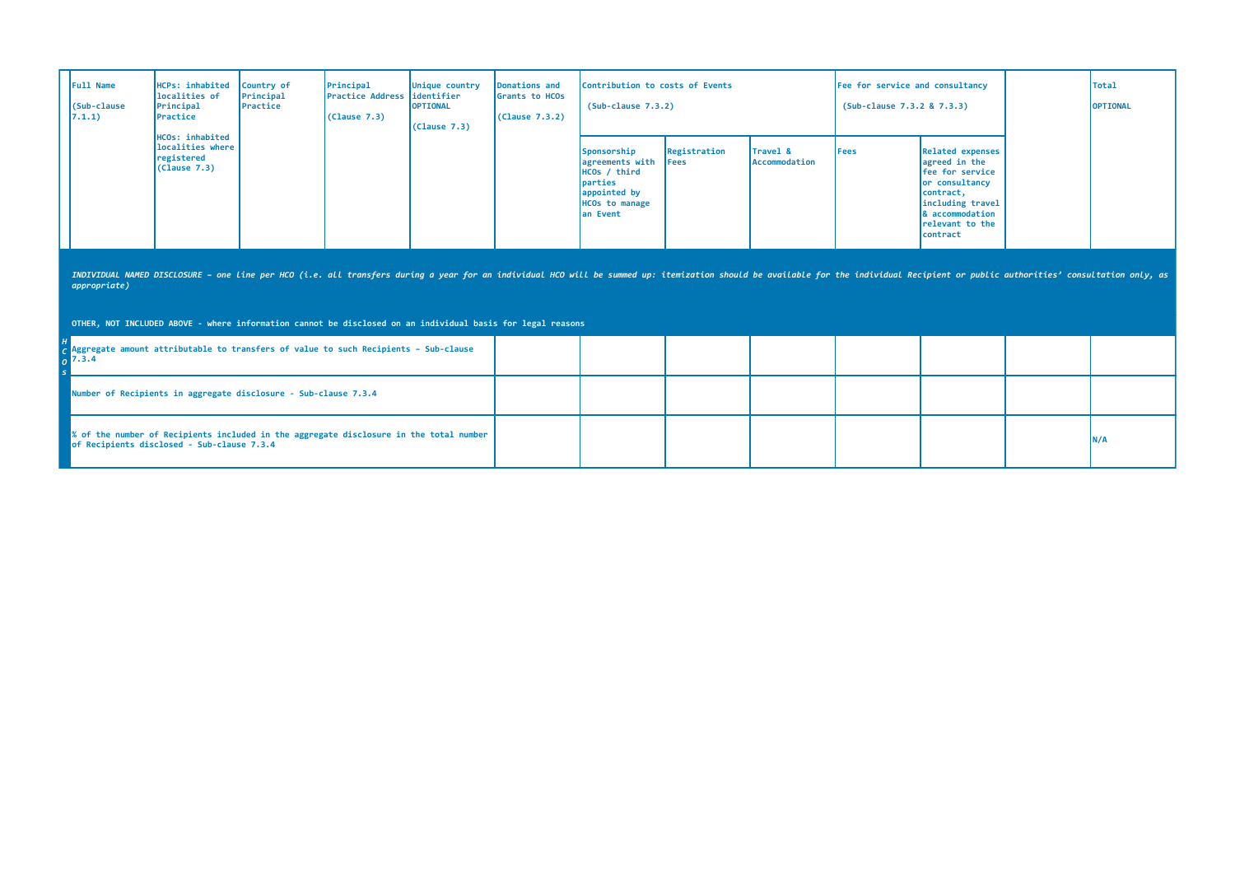| 7.1.1) | <b>Full Name</b><br>(Sub-clause | HCPs: inhabited Country of<br>localities of<br>Principal<br>Practice | Principal<br>Practice | Principal<br>Practice Address lidentifier<br>(Clause 7.3) | Donations and<br>Unique country<br>Grants to HCOs<br><b>OPTIONAL</b><br>(Clause 7.3.2)<br>(Clause 7.3) | Contribution to costs of Events<br>$(Sub-clause 7.3.2)$ |                                                                                                                                      |                              | Fee for service and consultancy<br>(Sub-clause 7.3.2 & 7.3.3) |      | <b>Total</b><br><b>OPTIONAL</b>                                                                                                                                   |  |
|--------|---------------------------------|----------------------------------------------------------------------|-----------------------|-----------------------------------------------------------|--------------------------------------------------------------------------------------------------------|---------------------------------------------------------|--------------------------------------------------------------------------------------------------------------------------------------|------------------------------|---------------------------------------------------------------|------|-------------------------------------------------------------------------------------------------------------------------------------------------------------------|--|
|        |                                 | HCOs: inhabited<br>localities where<br>registered<br>(Clause 7.3)    |                       |                                                           |                                                                                                        |                                                         | Sponsorship<br>agreements with<br>HCOs / third<br><i><u><b>I</b>parties</u></i><br>appointed by<br><b>HCOs to manage</b><br>an Event | Registration<br><b>IFees</b> | Travel &<br>Accommodation                                     | Fees | Related expenses<br>agreed in the<br><b>Ifee for service</b><br>or consultancy<br>contract,<br>including travel<br>& accommodation<br>relevant to the<br>contract |  |

**OTHER, NOT INCLUDED ABOVE - where information cannot be disclosed on an individual basis for legal reasons**

| $\sim$ Aggregate amount attributable to transfers of value to such Recipients - Sub-clause<br>17.3.4                                 |  |  |  |     |
|--------------------------------------------------------------------------------------------------------------------------------------|--|--|--|-----|
| Number of Recipients in aggregate disclosure - Sub-clause 7.3.4                                                                      |  |  |  |     |
| % of the number of Recipients included in the aggregate disclosure in the total number<br>of Recipients disclosed - Sub-clause 7.3.4 |  |  |  | N/A |